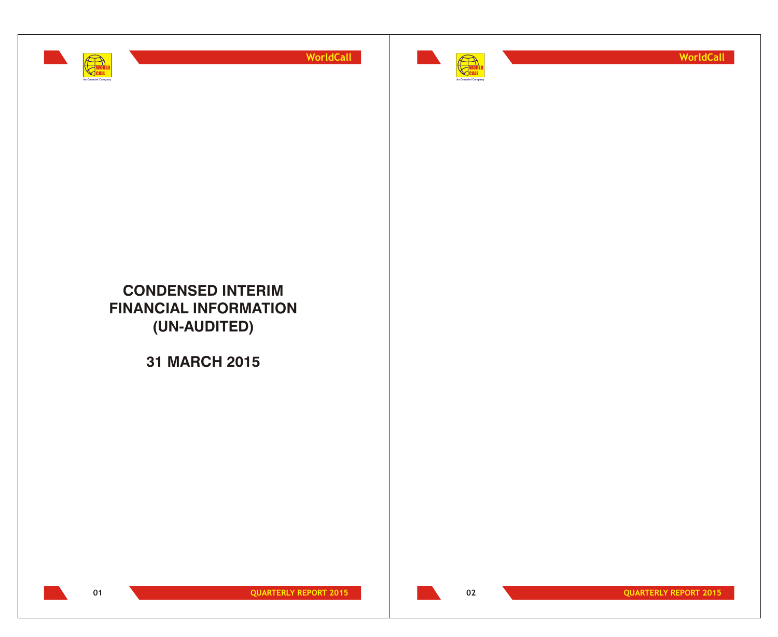



**WorldCall**

## **CONDENSED INTERIM FINANCIAL INFORMATION (UN-AUDITED)**

**31 MARCH 2015**



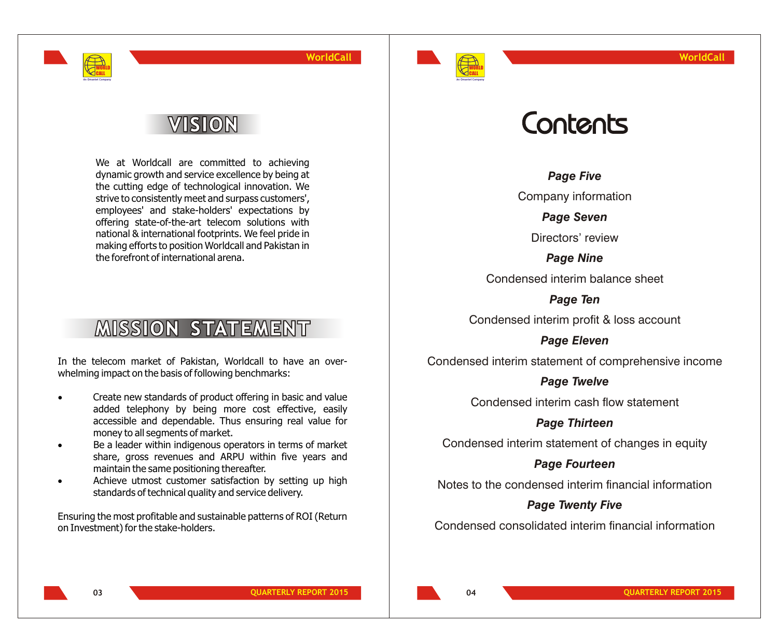

# VISION

WORLD CALL **An Omantel Company**

> We at Worldcall are committed to achieving dynamic growth and service excellence by being at the cutting edge of technological innovation. We strive to consistently meet and surpass customers', employees' and stake-holders' expectations by offering state-of-the-art telecom solutions with national & international footprints. We feel pride in making efforts to position Worldcall and Pakistan in the forefront of international arena.

# **MISSION STATEMENT**

In the telecom market of Pakistan, Worldcall to have an overwhelming impact on the basis of following benchmarks:

- Create new standards of product offering in basic and value added telephony by being more cost effective, easily accessible and dependable. Thus ensuring real value for money to all segments of market.
- Be a leader within indigenous operators in terms of market share, gross revenues and ARPU within five years and maintain the same positioning thereafter.
- Achieve utmost customer satisfaction by setting up high standards of technical quality and service delivery.

Ensuring the most profitable and sustainable patterns of ROI (Return on Investment) for the stake-holders.

# Contents

*Page Five*

Company information

*Page Seven*

Directors' review

*Page Nine* Condensed interim balance sheet

*Page Ten*

Condensed interim profit & loss account

*Page Eleven*

Condensed interim statement of comprehensive income

### *Page Twelve*

Condensed interim cash flow statement

*Page Thirteen*

Condensed interim statement of changes in equity

*Page Fourteen*

Notes to the condensed interim financial information

### *Page Twenty Five*

Condensed consolidated interim financial information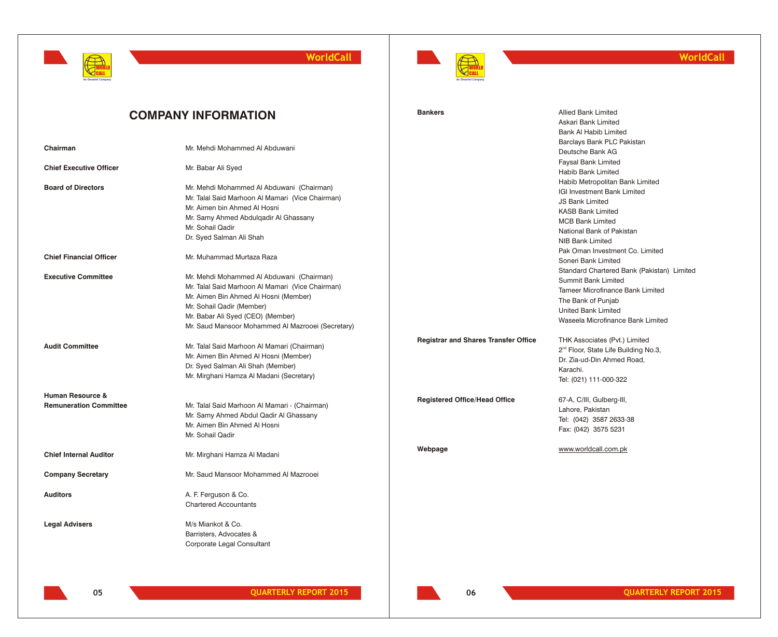



### **WorldCall**

|                                | <b>COMPANY INFORMATION</b>                        | <b>Bankers</b>                              | <b>Allied Bank Limited</b>                          |
|--------------------------------|---------------------------------------------------|---------------------------------------------|-----------------------------------------------------|
|                                |                                                   |                                             | Askari Bank Limited<br>Bank Al Habib Limited        |
|                                |                                                   |                                             | Barclays Bank PLC Pakistan                          |
| Chairman                       | Mr. Mehdi Mohammed Al Abduwani                    |                                             | Deutsche Bank AG                                    |
|                                |                                                   |                                             | <b>Faysal Bank Limited</b>                          |
| <b>Chief Executive Officer</b> | Mr. Babar Ali Syed                                |                                             | Habib Bank Limited                                  |
| <b>Board of Directors</b>      | Mr. Mehdi Mohammed Al Abduwani (Chairman)         |                                             | Habib Metropolitan Bank Limited                     |
|                                | Mr. Talal Said Marhoon Al Mamari (Vice Chairman)  |                                             | IGI Investment Bank Limited                         |
|                                | Mr. Aimen bin Ahmed Al Hosni                      |                                             | <b>JS Bank Limited</b>                              |
|                                | Mr. Samy Ahmed Abdulqadir Al Ghassany             |                                             | <b>KASB Bank Limited</b>                            |
|                                | Mr. Sohail Qadir                                  |                                             | <b>MCB Bank Limited</b>                             |
|                                | Dr. Syed Salman Ali Shah                          |                                             | National Bank of Pakistan                           |
|                                |                                                   |                                             | NIB Bank Limited<br>Pak Oman Investment Co. Limited |
| <b>Chief Financial Officer</b> | Mr. Muhammad Murtaza Raza                         |                                             | Soneri Bank Limited                                 |
|                                |                                                   |                                             | Standard Chartered Bank (Pakistan) Limited          |
| <b>Executive Committee</b>     | Mr. Mehdi Mohammed Al Abduwani (Chairman)         |                                             | <b>Summit Bank Limited</b>                          |
|                                | Mr. Talal Said Marhoon Al Mamari (Vice Chairman)  |                                             | Tameer Microfinance Bank Limited                    |
|                                | Mr. Aimen Bin Ahmed Al Hosni (Member)             |                                             | The Bank of Punjab                                  |
|                                | Mr. Sohail Qadir (Member)                         |                                             | United Bank Limited                                 |
|                                | Mr. Babar Ali Syed (CEO) (Member)                 |                                             | Waseela Microfinance Bank Limited                   |
|                                | Mr. Saud Mansoor Mohammed Al Mazrooei (Secretary) |                                             |                                                     |
| <b>Audit Committee</b>         | Mr. Talal Said Marhoon Al Mamari (Chairman)       | <b>Registrar and Shares Transfer Office</b> | THK Associates (Pvt.) Limited                       |
|                                | Mr. Aimen Bin Ahmed Al Hosni (Member)             |                                             | 2 <sup>nd</sup> Floor, State Life Building No.3,    |
|                                | Dr. Syed Salman Ali Shah (Member)                 |                                             | Dr. Zia-ud-Din Ahmed Road.                          |
|                                | Mr. Mirghani Hamza Al Madani (Secretary)          |                                             | Karachi.                                            |
|                                |                                                   |                                             | Tel: (021) 111-000-322                              |
| Human Resource &               |                                                   | <b>Registered Office/Head Office</b>        | 67-A, C/III, Gulberg-III,                           |
| <b>Remuneration Committee</b>  | Mr. Talal Said Marhoon Al Mamari - (Chairman)     |                                             | Lahore, Pakistan                                    |
|                                | Mr. Samy Ahmed Abdul Qadir Al Ghassany            |                                             | Tel: (042) 3587 2633-38                             |
|                                | Mr. Aimen Bin Ahmed Al Hosni                      |                                             | Fax: (042) 3575 5231                                |
|                                | Mr. Sohail Qadir                                  |                                             |                                                     |
| <b>Chief Internal Auditor</b>  | Mr. Mirghani Hamza Al Madani                      | Webpage                                     | www.worldcall.com.pk                                |
|                                |                                                   |                                             |                                                     |
| <b>Company Secretary</b>       | Mr. Saud Mansoor Mohammed Al Mazrooei             |                                             |                                                     |
| <b>Auditors</b>                | A. F. Ferguson & Co.                              |                                             |                                                     |
|                                | <b>Chartered Accountants</b>                      |                                             |                                                     |
|                                |                                                   |                                             |                                                     |
| <b>Legal Advisers</b>          | M/s Miankot & Co.                                 |                                             |                                                     |
|                                | Barristers, Advocates &                           |                                             |                                                     |
|                                | Corporate Legal Consultant                        |                                             |                                                     |
|                                |                                                   |                                             |                                                     |

**06**

**QUARTERLY REPORT 2015 120 CONTRACT 2015 CONTRACT 2015**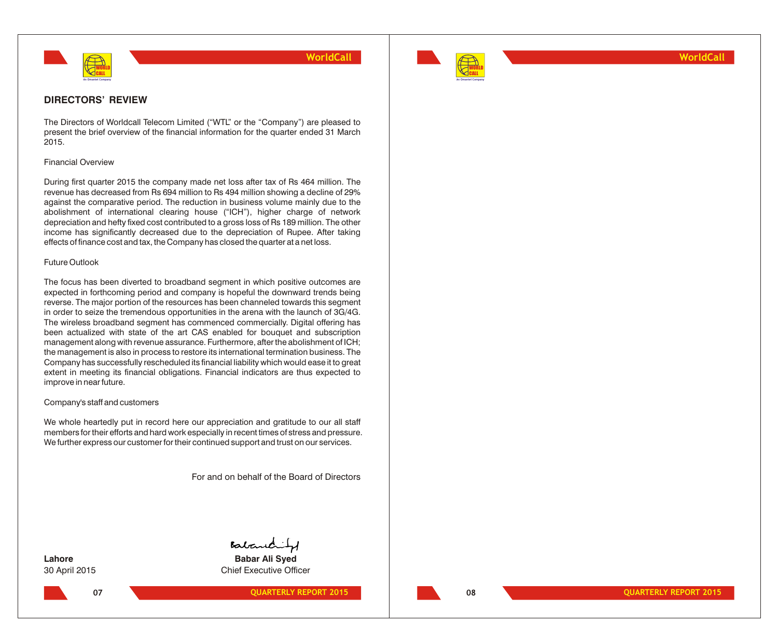



### **WorldCall**

### **DIRECTORS' REVIEW**

The Directors of Worldcall Telecom Limited ("WTL" or the "Company") are pleased to present the brief overview of the financial information for the quarter ended 31 March 2015.

### Financial Overview

During first quarter 2015 the company made net loss after tax of Rs 464 million. The revenue has decreased from Rs 694 million to Rs 494 million showing a decline of 29% against the comparative period. The reduction in business volume mainly due to the abolishment of international clearing house ("ICH"), higher charge of network depreciation and hefty fixed cost contributed to a gross loss of Rs 189 million. The other income has significantly decreased due to the depreciation of Rupee. After taking effects of finance cost and tax, the Company has closed the quarter at a net loss.

### Future Outlook

The focus has been diverted to broadband segment in which positive outcomes are expected in forthcoming period and company is hopeful the downward trends being reverse. The major portion of the resources has been channeled towards this segment in order to seize the tremendous opportunities in the arena with the launch of 3G/4G. The wireless broadband segment has commenced commercially. Digital offering has been actualized with state of the art CAS enabled for bouquet and subscription management along with revenue assurance. Furthermore, after the abolishment of ICH; the management is also in process to restore its international termination business. The Company has successfully rescheduled its financial liability which would ease it to great extent in meeting its financial obligations. Financial indicators are thus expected to improve in near future.

### Company's staff and customers

We whole heartedly put in record here our appreciation and gratitude to our all staff members for their efforts and hard work especially in recent times of stress and pressure. We further express our customer for their continued support and trust on our services.

For and on behalf of the Board of Directors

**07**

Babandi **Lahore Babar Ali Syed**

30 April 2015 Chief Executive Officer

**QUARTERLY REPORT 2015 12.15 <b>CUARTERLY REPORT 2015 12.15 <b>CUARTERLY REPORT 2015**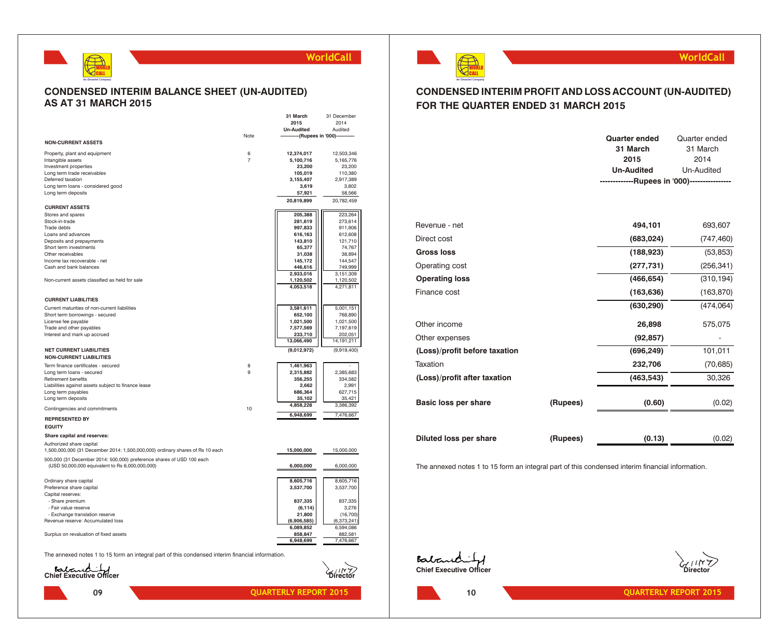### WORLD CALL **An Omantel Company**

### **WorldCall**

### **CONDENSED INTERIM BALANCE SHEET (UN-AUDITED) AS AT 31 MARCH 2015**

|                                                                                                                                                                                                                                                                 | Note                | 31 March<br>2015<br><b>Un-Audited</b><br>-----------(Rupees in '000)-----------                                                      | 31 December<br>2014<br>Audited                                                                                                       |
|-----------------------------------------------------------------------------------------------------------------------------------------------------------------------------------------------------------------------------------------------------------------|---------------------|--------------------------------------------------------------------------------------------------------------------------------------|--------------------------------------------------------------------------------------------------------------------------------------|
| <b>NON-CURRENT ASSETS</b>                                                                                                                                                                                                                                       |                     |                                                                                                                                      |                                                                                                                                      |
| Property, plant and equipment<br>Intangible assets<br>Investment properties<br>Long term trade receivables<br>Deferred taxation<br>Long term loans - considered good<br>Long term deposits                                                                      | 6<br>$\overline{7}$ | 12,374,017<br>5,100,716<br>23,200<br>105,019<br>3,155,407<br>3,619<br>57,921<br>20,819,899                                           | 12,503,346<br>5,165,776<br>23,200<br>110,380<br>2,917,389<br>3,802<br>58,566<br>20,782,459                                           |
| <b>CURRENT ASSETS</b>                                                                                                                                                                                                                                           |                     |                                                                                                                                      |                                                                                                                                      |
| Stores and spares<br>Stock-in-trade<br>Trade debts<br>Loans and advances<br>Deposits and prepayments<br>Short term investments<br>Other receivables<br>Income tax recoverable - net<br>Cash and bank balances<br>Non-current assets classified as held for sale |                     | 205,388<br>281,619<br>997,833<br>616,163<br>143,810<br>65,377<br>31,038<br>145,172<br>446,616<br>2,933,016<br>1,120,502<br>4,053,518 | 223,264<br>273,614<br>911,906<br>612,608<br>121,710<br>74,767<br>38,894<br>144,547<br>749,999<br>3,151,309<br>1,120,502<br>4,271,811 |
|                                                                                                                                                                                                                                                                 |                     |                                                                                                                                      |                                                                                                                                      |
| <b>CURRENT LIABILITIES</b><br>Current maturities of non-current liabilities<br>Short term borrowings - secured<br>License fee payable<br>Trade and other payables<br>Interest and mark up accrued                                                               |                     | 3,581,611<br>652,100<br>1,021,500<br>7,577,569<br>233,710<br>13,066,490                                                              | 5,001,151<br>768,890<br>1,021,500<br>7,197,619<br>202,051<br>14, 191, 211                                                            |
| <b>NET CURRENT LIABILITIES</b>                                                                                                                                                                                                                                  |                     | (9,012,972)                                                                                                                          | (9,919,400)                                                                                                                          |
| <b>NON-CURRENT LIABILITIES</b>                                                                                                                                                                                                                                  |                     |                                                                                                                                      |                                                                                                                                      |
| Term finance certificates - secured<br>Long term loans - secured<br>Retirement benefits<br>Liabilities against assets subject to finance lease<br>Long term payables<br>Long term deposits                                                                      | 8<br>9              | 1,461,963<br>2,315,882<br>356,255<br>2,662<br>686,364<br>35,102<br>4,858,228                                                         | 2,385,683<br>334,582<br>2,991<br>627,715<br>35,421<br>3,386,392                                                                      |
| Contingencies and commitments                                                                                                                                                                                                                                   | 10                  |                                                                                                                                      |                                                                                                                                      |
| <b>REPRESENTED BY</b>                                                                                                                                                                                                                                           |                     | 6,948,699                                                                                                                            | 7,476,667                                                                                                                            |
| <b>EQUITY</b>                                                                                                                                                                                                                                                   |                     |                                                                                                                                      |                                                                                                                                      |
| Share capital and reserves:                                                                                                                                                                                                                                     |                     |                                                                                                                                      |                                                                                                                                      |
| Authorized share capital<br>1,500,000,000 (31 December 2014: 1,500,000,000) ordinary shares of Rs 10 each                                                                                                                                                       |                     | 15,000,000                                                                                                                           | 15,000,000                                                                                                                           |
| 500,000 (31 December 2014: 500,000) preference shares of USD 100 each<br>(USD 50,000,000 equivalent to Rs 6,000,000,000)                                                                                                                                        |                     | 6,000,000                                                                                                                            | 6,000,000                                                                                                                            |
| Ordinary share capital<br>Preference share capital<br>Capital reserves:<br>- Share premium                                                                                                                                                                      |                     | 8,605,716<br>3,537,700<br>837,335                                                                                                    | 8,605,716<br>3,537,700<br>837,335                                                                                                    |
|                                                                                                                                                                                                                                                                 |                     |                                                                                                                                      |                                                                                                                                      |

- Fair value reserve **(6,114)** 3,276

| - Exchange translation reserve         | 21.800      | (16.700)    |
|----------------------------------------|-------------|-------------|
| Revenue reserve: Accumulated loss      | (6.906.585) | (6.373.241) |
|                                        | 6.089.852   | 6.594.086   |
| Surplus on revaluation of fixed assets | 858.847     | 882.581     |

The annexed notes 1 to 15 form an integral part of this condensed interim financial information.

**East**<br>Chief Executive Officer Chief Executive Officer

**09**

**6,948,699** 7,476,667



### **WorldCall**

### **CONDENSED INTERIM PROFIT AND LOSS ACCOUNT (UN-AUDITED) FOR THE QUARTER ENDED 31 MARCH 2015**

|                                        | nuunv                |                               |          |                                             |                           |
|----------------------------------------|----------------------|-------------------------------|----------|---------------------------------------------|---------------------------|
| -----------(Rupees in '000)----------- |                      |                               |          | <b>Quarter ended</b><br>31 March            | Quarter ended<br>31 March |
| 12,374,017                             | 12,503,346           |                               |          |                                             |                           |
| 5,100,716                              | 5,165,776            |                               |          | 2015                                        | 2014                      |
| 23,200                                 | 23,200               |                               |          | <b>Un-Audited</b>                           | Un-Audited                |
| 105,019                                | 110,380              |                               |          |                                             |                           |
| 3,155,407                              | 2,917,389            |                               |          | -------------Rupees in '000)--------------- |                           |
| 3,619<br>57,921                        | 3,802<br>58,566      |                               |          |                                             |                           |
|                                        |                      |                               |          |                                             |                           |
| 20,819,899                             | 20,782,459           |                               |          |                                             |                           |
| 205.388                                | 223.264              |                               |          |                                             |                           |
| 281,619                                | 273,614              | Revenue - net                 |          | 494,101                                     | 693,607                   |
| 997,833                                | 911,906              |                               |          |                                             |                           |
| 616,163<br>143,810                     | 612,608<br>121,710   | Direct cost                   |          | (683, 024)                                  | (747, 460)                |
| 65,377                                 | 74,767               |                               |          |                                             |                           |
| 31,038                                 | 38,894               | <b>Gross loss</b>             |          | (188, 923)                                  | (53, 853)                 |
| 145,172                                | 144,547              |                               |          |                                             |                           |
| 446,616                                | 749,999              | Operating cost                |          | (277, 731)                                  | (256, 341)                |
| 2,933,016                              | 3,151,309            |                               |          |                                             |                           |
| 1,120,502                              | 1,120,502            | <b>Operating loss</b>         |          | (466, 654)                                  | (310, 194)                |
| 4,053,518                              | 4,271,811            | Finance cost                  |          | (163, 636)                                  | (163, 870)                |
|                                        |                      |                               |          |                                             |                           |
|                                        |                      |                               |          | (630, 290)                                  | (474, 064)                |
| 3,581,611                              | 5,001,151            |                               |          |                                             |                           |
| 652,100<br>1,021,500                   | 768,890<br>1,021,500 |                               |          |                                             |                           |
| 7,577,569                              | 7,197,619            | Other income                  |          | 26,898                                      | 575,075                   |
| 233,710                                | 202,051              |                               |          |                                             |                           |
| 13,066,490                             | 14, 191, 211         | Other expenses                |          | (92, 857)                                   |                           |
| (9,012,972)                            | (9,919,400)          | (Loss)/profit before taxation |          | (696, 249)                                  | 101,011                   |
| 1,461,963                              |                      | Taxation                      |          | 232,706                                     | (70, 685)                 |
| 2,315,882                              | 2,385,683            |                               |          |                                             |                           |
| 356,255                                | 334,582              | (Loss)/profit after taxation  |          | (463, 543)                                  | 30,326                    |
| 2,662<br>686,364                       | 2,991<br>627,715     |                               |          |                                             |                           |
| 35,102                                 | 35,421               |                               |          |                                             |                           |
| 4,858,228                              | 3,386,392            | <b>Basic loss per share</b>   | (Rupees) | (0.60)                                      | (0.02)                    |
|                                        |                      |                               |          |                                             |                           |
| 6,948,699                              | 7,476,667            |                               |          |                                             |                           |
|                                        |                      | <b>Diluted loss per share</b> | (Rupees) | (0.13)                                      | (0.02)                    |
| 15.000.000                             | 15.000.000           |                               |          |                                             |                           |

The annexed notes 1 to 15 form an integral part of this condensed interim financial information.

**Eatrement of**<br>Chief Executive Officer



**10**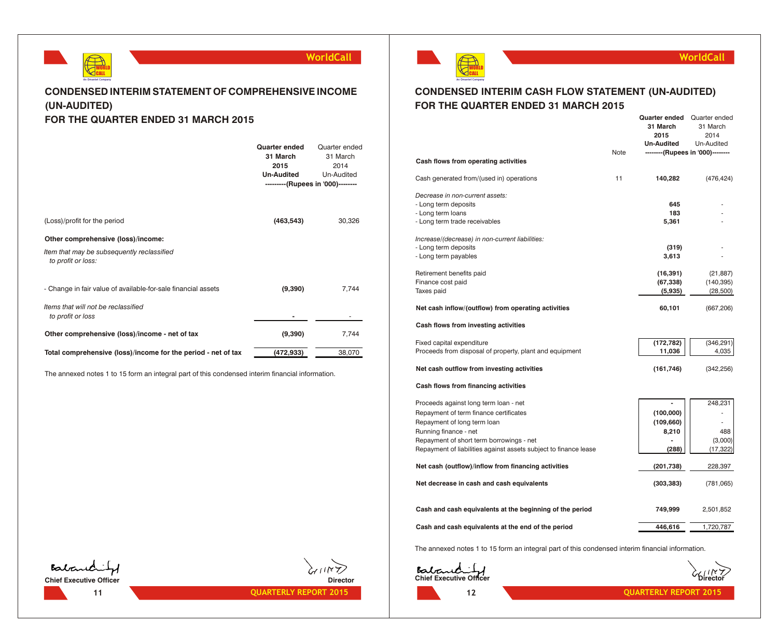

### **CONDENSED INTERIM STATEMENT OF COMPREHENSIVE INCOME (UN-AUDITED) FOR THE QUARTER ENDED 31 MARCH 2015**

|                                                                  | Quarter ended<br>31 March<br>2015<br><b>Un-Audited</b><br>---------(Rupees in '000)-------- | Quarter ended<br>31 March<br>2014<br>Un-Audited |
|------------------------------------------------------------------|---------------------------------------------------------------------------------------------|-------------------------------------------------|
| (Loss)/profit for the period                                     | (463, 543)                                                                                  | 30,326                                          |
| Other comprehensive (loss)/income:                               |                                                                                             |                                                 |
| Item that may be subsequently reclassified<br>to profit or loss: |                                                                                             |                                                 |
| - Change in fair value of available-for-sale financial assets    | (9,390)                                                                                     | 7,744                                           |
| Items that will not be reclassified<br>to profit or loss         |                                                                                             |                                                 |
| Other comprehensive (loss)/income - net of tax                   | (9,390)                                                                                     | 7,744                                           |
| Total comprehensive (loss)/income for the period - net of tax    | (472,933)                                                                                   | 38,070                                          |

The annexed notes 1 to 15 form an integral part of this condensed interim financial information.



**11**





### **CONDENSED INTERIM CASH FLOW STATEMENT (UN-AUDITED) FOR THE QUARTER ENDED 31 MARCH 2015**

|                                                                  |      | 31 March                         | 31 March           |
|------------------------------------------------------------------|------|----------------------------------|--------------------|
|                                                                  |      | 2015<br><b>Un-Audited</b>        | 2014<br>Un-Audited |
|                                                                  | Note | --------(Rupees in '000)-------- |                    |
| Cash flows from operating activities                             |      |                                  |                    |
| Cash generated from/(used in) operations                         | 11   | 140,282                          | (476, 424)         |
| Decrease in non-current assets:                                  |      |                                  |                    |
| - Long term deposits<br>- Long term loans                        |      | 645<br>183                       |                    |
| - Long term trade receivables                                    |      | 5,361                            |                    |
|                                                                  |      |                                  |                    |
| Increase/(decrease) in non-current liabilities:                  |      |                                  |                    |
| - Long term deposits                                             |      | (319)                            |                    |
| - Long term payables                                             |      | 3,613                            |                    |
| Retirement benefits paid                                         |      | (16, 391)                        | (21, 887)          |
| Finance cost paid                                                |      | (67, 338)                        | (140, 395)         |
| Taxes paid                                                       |      | (5,935)                          | (28, 500)          |
|                                                                  |      |                                  |                    |
| Net cash inflow/(outflow) from operating activities              |      | 60,101                           | (667, 206)         |
| Cash flows from investing activities                             |      |                                  |                    |
| Fixed capital expenditure                                        |      | (172, 782)                       | (346, 291)         |
| Proceeds from disposal of property, plant and equipment          |      | 11,036                           | 4,035              |
| Net cash outflow from investing activities                       |      | (161, 746)                       | (342, 256)         |
| Cash flows from financing activities                             |      |                                  |                    |
| Proceeds against long term loan - net                            |      |                                  | 248,231            |
| Repayment of term finance certificates                           |      | (100,000)                        |                    |
| Repayment of long term loan                                      |      | (109, 660)                       | ÷                  |
| Running finance - net                                            |      | 8,210                            | 488                |
| Repayment of short term borrowings - net                         |      |                                  | (3,000)            |
| Repayment of liabilities against assets subject to finance lease |      | (288)                            | (17,322)           |
| Net cash (outflow)/inflow from financing activities              |      | (201,738)                        | 228,397            |
| Net decrease in cash and cash equivalents                        |      | (303, 383)                       | (781,065)          |
| Cash and cash equivalents at the beginning of the period         |      | 749,999                          | 2,501,852          |
|                                                                  |      |                                  |                    |
| Cash and cash equivalents at the end of the period               |      | 446,616                          | 1,720,787          |

The annexed notes 1 to 15 form an integral part of this condensed interim financial information.





**12**

**QUARTERLY REPORT 2015 QUARTERLY REPORT 2015**

**WorldCall**

**Quarter ended** Quarter ended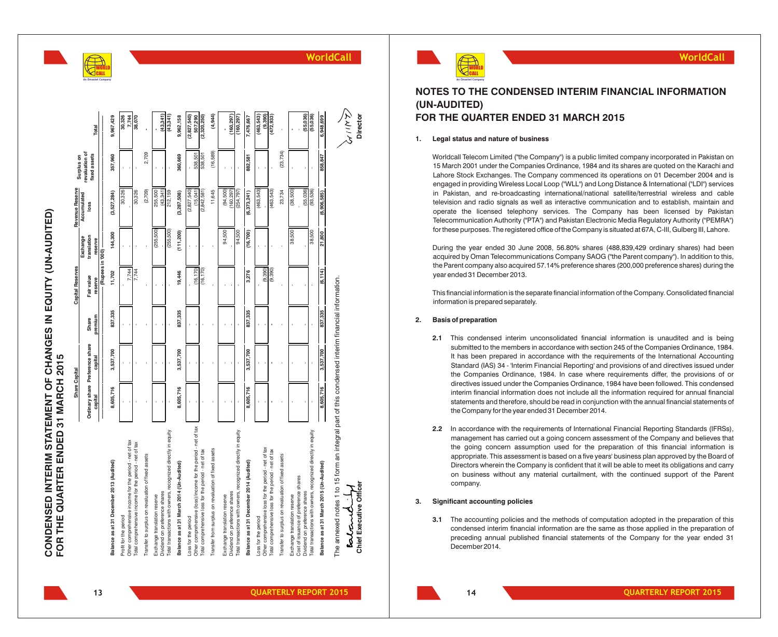WORLD CALL **An Omantel Company**

|--|

**D E N** <u>ო ა</u> **E D IN T E RIM S TAT E** ∑ ⊋ **E N T O F** ່ງ ( **H A N G E S IN E Q UITY (U N-A U DIT E THEQUA RTERENDED31 M A RCH2015**

**D)**

Rese

**CO N**

**FOR**

|                                                                                                            | <b>Share Capital</b> |                                 |         | Capital Reserves         |                         | Revenue Reserve         | Surplus on                     |                        |
|------------------------------------------------------------------------------------------------------------|----------------------|---------------------------------|---------|--------------------------|-------------------------|-------------------------|--------------------------------|------------------------|
|                                                                                                            |                      | Ordinary share Preference share | Share   | Fair value               | translation<br>Exchange | Accumulated<br>loss     | revaluation of<br>fixed assets |                        |
|                                                                                                            | capital              | capital                         | premium | reserve                  | reserve                 |                         |                                | Total                  |
|                                                                                                            |                      |                                 |         | --- (Rupees in '000) --- |                         |                         |                                |                        |
| Balance as at 31 December 2013 (Audited)                                                                   | 8,605,716            | 3,537,700                       | 837,335 | 11,702                   | 144,300                 | (3,527,284)             | 357,960                        | 9,967,429              |
| Profit for the period                                                                                      |                      |                                 |         |                          |                         | 30,326                  |                                | 30,326                 |
| Other comprehensive income for the period - net of tax                                                     |                      |                                 |         | 7,744                    |                         |                         |                                | 7,744                  |
| Total comprehensive income for the period - net of tax                                                     |                      |                                 |         | 7,744                    |                         | 30,326                  |                                | 38,070                 |
| Transfer to surplus on revaluation of fixed assets                                                         |                      |                                 |         |                          |                         | (2,709)                 | 2,709                          |                        |
| Exchange translation reserve                                                                               |                      |                                 |         |                          | (255, 500)              | 255,500<br>(43, 341)    |                                |                        |
| Total transactions with owners, recognized directly in equity<br>Dividend on preference shares             |                      |                                 |         |                          | (255, 500)              | 212,159                 |                                | (43, 341)<br>(43, 341) |
| Balance as at 31 March 2014 (Un-Audited)                                                                   | 8,605,716            | 3,537,700                       | 837,335 | 19,446                   | (111, 200)              | (3,287,508)             | 360,669                        | 9,962,158              |
| Other comprehensive (loss)/income for the period - net of tax<br>Loss for the period                       |                      |                                 |         | (16, 170)                |                         | (2,827,540)<br>(15,041) | 538,501                        | (2,827,540)<br>507,290 |
| Total comprehensive loss for the period - net of tax                                                       |                      |                                 |         | (16, 170)                |                         | (2, 842, 581)           | 538,501                        | (2,320,250)            |
| Transfer from surplus on revaluation of fixed assets                                                       |                      |                                 |         |                          |                         | 11,645                  | (16,589)                       | (4, 944)               |
| Dividend on preference shares<br>Exchange translation reserve                                              |                      |                                 |         |                          | 94,500                  | (160, 297)              |                                | 160,297)               |
| Total transactions with owners, recognized directly in equity                                              |                      |                                 |         |                          | 94,500                  | (254, 797)              |                                | (160, 297)             |
| Balance as at 31 December 2014 (Audited)                                                                   | 8,605,716            | 3,537,700                       | 837,335 | 3,276                    | (16,700)                | (6,373,241)             | 882,581                        | 7,476,667              |
| Other comprehensive loss for the period - net of tax<br>Loss for the period                                |                      |                                 |         | (9,390)                  |                         | (463,543)               |                                | (463, 543)<br>(9, 390) |
| Total comprehensive loss for the period - net of tax                                                       |                      |                                 |         | (9,390)                  |                         | 463,543)                |                                | (472, 933)             |
| Transfer to surplus on revaluation of fixed assets                                                         |                      |                                 |         |                          |                         | 23,734                  | (23, 734)                      |                        |
| Cost of issuance of preference shares<br>Exchange translation reserve                                      |                      |                                 |         |                          | 38,500                  | (38,500)                |                                |                        |
| Dividend on preference shares                                                                              |                      |                                 |         |                          |                         | (55,036)                |                                | (55,036)               |
| Total transactions with owners, recognized directly in equity                                              |                      |                                 |         |                          | 38,500                  | (93,536)                |                                | (55,036)               |
| Balance as at 31 March 2015 (Un-Audited)                                                                   | 8,605,716            | 3,537,700                       | 837,335 | (6, 114)                 | 21,800                  | (6,906,585)             | 858,847                        | 6,948,699              |
| The annexed notes 1 to 15 form an integral part of this condensed interim financial information.<br>estant |                      |                                 |         |                          |                         |                         |                                | ダンニン                   |
| <b>Chief Executive Officer</b>                                                                             |                      |                                 |         |                          |                         |                         |                                | Director               |



### **NOTES TO THE CONDENSED INTERIM FINANCIAL INFORMATION (UN-AUDITED) FOR THE QUARTER ENDED 31 MARCH 2015**

**WorldCall**

### **1. Legal status and nature of business**

Worldcall Telecom Limited ("the Company") is a public limited company incorporated in Pakistan on 15 March 2001 under the Companies Ordinance, 1984 and its shares are quoted on the Karachi and Lahore Stock Exchanges. The Company commenced its operations on 01 December 2004 and is engaged in providing Wireless Local Loop ("WLL") and Long Distance & International ("LDI") services in Pakistan, and re-broadcasting international/national satellite/terrestrial wireless and cable television and radio signals as well as interactive communication and to establish, maintain and operate the licensed telephony services. The Company has been licensed by Pakistan Telecommunication Authority ("PTA") and Pakistan Electronic Media Regulatory Authority ("PEMRA") for these purposes. The registered office of the Company is situated at 67A, C-III, Gulberg III, Lahore.

During the year ended 30 June 2008, 56.80% shares (488,839,429 ordinary shares) had been acquired by Oman Telecommunications Company SAOG ("the Parent company"). In addition to this, the Parent company also acquired 57.14% preference shares (200,000 preference shares) during the year ended 31 December 2013.

This financial information is the separate financial information of the Company. Consolidated financial information is prepared separately.

### **2. Basis of preparation**

- **2.1** This condensed interim unconsolidated financial information is unaudited and is being submitted to the members in accordance with section 245 of the Companies Ordinance, 1984. It has been prepared in accordance with the requirements of the International Accounting Standard (IAS) 34 - 'Interim Financial Reporting' and provisions of and directives issued under the Companies Ordinance, 1984. In case where requirements differ, the provisions of or directives issued under the Companies Ordinance, 1984 have been followed. This condensed interim financial information does not include all the information required for annual financial statements and therefore, should be read in conjunction with the annual financial statements of the Company for the year ended 31 December 2014.
- **2.2** In accordance with the requirements of International Financial Reporting Standards (IFRSs), management has carried out a going concern assessment of the Company and believes that the going concern assumption used for the preparation of this financial information is appropriate. This assessment is based on a five years' business plan approved by the Board of Directors wherein the Company is confident that it will be able to meet its obligations and carry on business without any material curtailment, with the continued support of the Parent company.

### **3. Significant accounting policies**

**3.1** The accounting policies and the methods of computation adopted in the preparation of this condensed interim financial information are the same as those applied in the preparation of preceding annual published financial statements of the Company for the year ended 31 December 2014.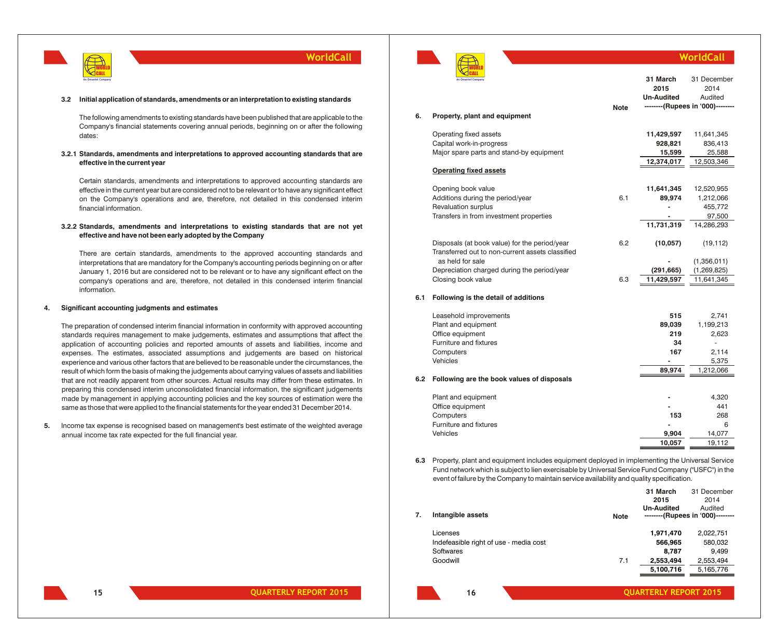

#### **3.2 Initial application of standards, amendments or an interpretation to existing standards**

The following amendments to existing standards have been published that are applicable to the Company's financial statements covering annual periods, beginning on or after the following dates:

#### **3.2.1 Standards, amendments and interpretations to approved accounting standards that are effective in the current year**

Certain standards, amendments and interpretations to approved accounting standards are effective in the current year but are considered not to be relevant or to have any significant effect on the Company's operations and are, therefore, not detailed in this condensed interim financial information.

#### **3.2.2 Standards, amendments and interpretations to existing standards that are not yet effective and have not been early adopted by the Company**

There are certain standards, amendments to the approved accounting standards and interpretations that are mandatory for the Company's accounting periods beginning on or after January 1, 2016 but are considered not to be relevant or to have any significant effect on the company's operations and are, therefore, not detailed in this condensed interim financial information.

#### **4. Significant accounting judgments and estimates**

The preparation of condensed interim financial information in conformity with approved accounting standards requires management to make judgements, estimates and assumptions that affect the application of accounting policies and reported amounts of assets and liabilities, income and expenses. The estimates, associated assumptions and judgements are based on historical experience and various other factors that are believed to be reasonable under the circumstances, the result of which form the basis of making the judgements about carrying values of assets and liabilities that are not readily apparent from other sources. Actual results may differ from these estimates. In preparing this condensed interim unconsolidated financial information, the significant judgements made by management in applying accounting policies and the key sources of estimation were the same as those that were applied to the financial statements for the year ended 31 December 2014.

**5.** Income tax expense is recognised based on management's best estimate of the weighted average annual income tax rate expected for the full financial year.



### **WorldCall**

|     | An Omantel Company                                                                                | <b>Note</b> | 31 March<br>2015<br><b>Un-Audited</b> | 31 December<br>2014<br>Audited<br>--------(Rupees in '000)-------- |
|-----|---------------------------------------------------------------------------------------------------|-------------|---------------------------------------|--------------------------------------------------------------------|
| 6.  | Property, plant and equipment                                                                     |             |                                       |                                                                    |
|     | Operating fixed assets                                                                            |             | 11,429,597                            | 11,641,345                                                         |
|     | Capital work-in-progress                                                                          |             | 928,821                               | 836,413                                                            |
|     | Major spare parts and stand-by equipment                                                          |             | 15,599                                | 25,588                                                             |
|     |                                                                                                   |             | 12,374,017                            | 12,503,346                                                         |
|     | <b>Operating fixed assets</b>                                                                     |             |                                       |                                                                    |
|     | Opening book value                                                                                |             | 11,641,345                            | 12,520,955                                                         |
|     | Additions during the period/year                                                                  | 6.1         | 89,974                                | 1,212,066                                                          |
|     | <b>Revaluation surplus</b>                                                                        |             |                                       | 455,772                                                            |
|     | Transfers in from investment properties                                                           |             |                                       | 97,500                                                             |
|     |                                                                                                   |             | 11,731,319                            | 14,286,293                                                         |
|     | Disposals (at book value) for the period/year<br>Transferred out to non-current assets classified | 6.2         | (10, 057)                             | (19, 112)                                                          |
|     | as held for sale                                                                                  |             |                                       | (1,356,011)                                                        |
|     | Depreciation charged during the period/year                                                       |             | (291, 665)                            | (1,269,825)                                                        |
|     | Closing book value                                                                                | 6.3         | 11,429,597                            | 11,641,345                                                         |
| 6.1 | Following is the detail of additions                                                              |             |                                       |                                                                    |
|     | Leasehold improvements                                                                            |             | 515                                   | 2,741                                                              |
|     | Plant and equipment                                                                               |             | 89,039                                | 1,199,213                                                          |
|     | Office equipment                                                                                  |             | 219                                   | 2,623                                                              |
|     | Furniture and fixtures                                                                            |             | 34                                    | ä,                                                                 |
|     | Computers                                                                                         |             | 167                                   | 2,114                                                              |
|     | Vehicles                                                                                          |             |                                       | 5,375                                                              |
|     |                                                                                                   |             | 89,974                                | 1,212,066                                                          |
| 6.2 | Following are the book values of disposals                                                        |             |                                       |                                                                    |
|     | Plant and equipment                                                                               |             |                                       | 4,320                                                              |
|     | Office equipment                                                                                  |             |                                       | 441                                                                |
|     | Computers                                                                                         |             | 153                                   | 268                                                                |
|     | <b>Furniture and fixtures</b>                                                                     |             |                                       | 6                                                                  |
|     | Vehicles                                                                                          |             | 9,904                                 | 14,077                                                             |
|     |                                                                                                   |             | 10.057                                | 19.112                                                             |

**6.3** Property, plant and equipment includes equipment deployed in implementing the Universal Service Fund network which is subject to lien exercisable by Universal Service Fund Company ("USFC") in the event of failure by the Company to maintain service availability and quality specification.

| 7. | Intangible assets                      | <b>Note</b> | 2015<br><b>Un-Audited</b> | 2014<br>Audited<br>--------(Rupees in '000)-------- |
|----|----------------------------------------|-------------|---------------------------|-----------------------------------------------------|
|    | Licenses                               |             | 1,971,470                 | 2,022,751                                           |
|    | Indefeasible right of use - media cost |             | 566.965                   | 580,032                                             |
|    | Softwares                              |             | 8.787                     | 9.499                                               |
|    | Goodwill                               | 7.1         | 2,553,494                 | 2.553.494                                           |
|    |                                        |             | 5,100,716                 | 5,165,776                                           |

**QUARTERLY REPORT 2015 QUARTERLY REPORT 2015**

**16**

**31 March**

31 December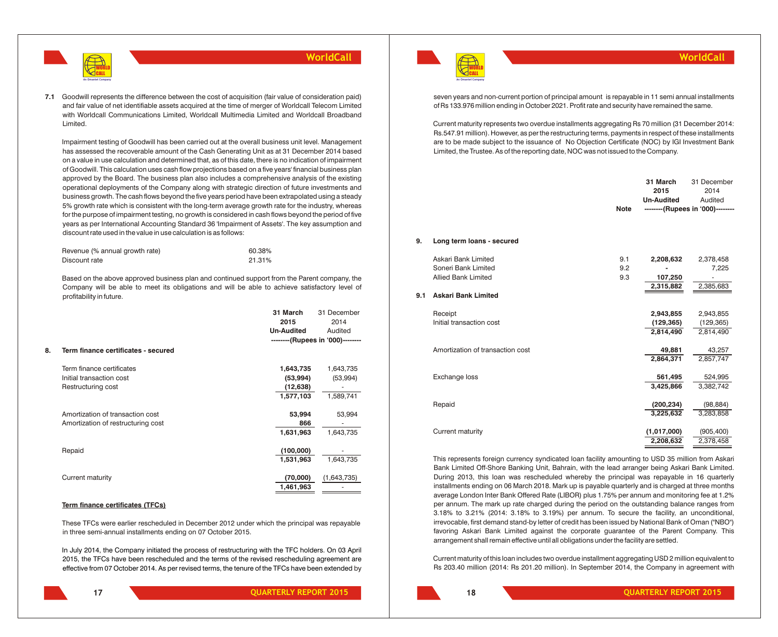

**7.1** Goodwill represents the difference between the cost of acquisition (fair value of consideration paid) and fair value of net identifiable assets acquired at the time of merger of Worldcall Telecom Limited with Worldcall Communications Limited, Worldcall Multimedia Limited and Worldcall Broadband Limited.

Impairment testing of Goodwill has been carried out at the overall business unit level. Management has assessed the recoverable amount of the Cash Generating Unit as at 31 December 2014 based on a value in use calculation and determined that, as of this date, there is no indication of impairment of Goodwill. This calculation uses cash flow projections based on a five years' financial business plan approved by the Board. The business plan also includes a comprehensive analysis of the existing operational deployments of the Company along with strategic direction of future investments and business growth. The cash flows beyond the five years period have been extrapolated using a steady 5% growth rate which is consistent with the long-term average growth rate for the industry, whereas for the purpose of impairment testing, no growth is considered in cash flows beyond the period of five years as per International Accounting Standard 36 'Impairment of Assets'. The key assumption and discount rate used in the value in use calculation is as follows:

| Revenue (% annual growth rate) | 60.38% |
|--------------------------------|--------|
| Discount rate                  | 21.31% |

Based on the above approved business plan and continued support from the Parent company, the Company will be able to meet its obligations and will be able to achieve satisfactory level of profitability in future.

|    |                                     | 31 March<br>2015  | 31 December<br>2014              |
|----|-------------------------------------|-------------------|----------------------------------|
|    |                                     | <b>Un-Audited</b> | Audited                          |
|    |                                     |                   | --------(Rupees in '000)-------- |
| 8. | Term finance certificates - secured |                   |                                  |
|    | Term finance certificates           | 1,643,735         | 1,643,735                        |
|    | Initial transaction cost            | (53, 994)         | (53,994)                         |
|    | Restructuring cost                  | (12, 638)         |                                  |
|    |                                     | 1,577,103         | 1,589,741                        |
|    | Amortization of transaction cost    | 53,994            | 53,994                           |
|    | Amortization of restructuring cost  | 866               |                                  |
|    |                                     | 1,631,963         | 1,643,735                        |
|    | Repaid                              | (100,000)         |                                  |
|    |                                     | 1,531,963         | 1,643,735                        |
|    | Current maturity                    | (70,000)          | (1,643,735)                      |
|    |                                     | 1,461,963         |                                  |
|    |                                     |                   |                                  |

#### **Term finance certificates (TFCs)**

These TFCs were earlier rescheduled in December 2012 under which the principal was repayable in three semi-annual installments ending on 07 October 2015.

effective from 07 October 2014. As per revised terms, the tenure of the TFCs have been extended by In July 2014, the Company initiated the process of restructuring with the TFC holders. On 03 April 2015, the TFCs have been rescheduled and the terms of the revised rescheduling agreement are





**WorldCall**

seven years and non-current portion of principal amount is repayable in 11 semi annual installments of Rs 133.976 million ending in October 2021. Profit rate and security have remained the same.

Current maturity represents two overdue installments aggregating Rs 70 million (31 December 2014: Rs.547.91 million). However, as per the restructuring terms, payments in respect of these installments are to be made subject to the issuance of No Objection Certificate (NOC) by IGI Investment Bank Limited, the Trustee. As of the reporting date, NOC was not issued to the Company.

|     |                                  | <b>Note</b> | 31 March<br>2015<br><b>Un-Audited</b> | 31 December<br>2014<br>Audited<br>--------(Rupees in '000)-------- |
|-----|----------------------------------|-------------|---------------------------------------|--------------------------------------------------------------------|
| 9.  | Long term loans - secured        |             |                                       |                                                                    |
|     | Askari Bank Limited              | 9.1         | 2,208,632                             | 2,378,458                                                          |
|     | Soneri Bank Limited              | 9.2         |                                       | 7,225                                                              |
|     | <b>Allied Bank Limited</b>       | 9.3         | 107,250                               |                                                                    |
|     |                                  |             | 2,315,882                             | 2,385,683                                                          |
| 9.1 | <b>Askari Bank Limited</b>       |             |                                       |                                                                    |
|     | Receipt                          |             | 2,943,855                             | 2,943,855                                                          |
|     | Initial transaction cost         |             | (129, 365)                            | (129, 365)                                                         |
|     |                                  |             | 2,814,490                             | 2,814,490                                                          |
|     | Amortization of transaction cost |             | 49,881                                | 43,257                                                             |
|     |                                  |             | 2.864.371                             | 2,857,747                                                          |
|     | Exchange loss                    |             | 561,495                               | 524,995                                                            |
|     |                                  |             | 3.425.866                             | 3.382.742                                                          |
|     | Repaid                           |             | (200, 234)                            | (98, 884)                                                          |
|     |                                  |             | 3,225,632                             | 3,283,858                                                          |
|     | <b>Current maturity</b>          |             | (1,017,000)                           | (905, 400)                                                         |
|     |                                  |             | 2,208,632                             | 2,378,458                                                          |
|     |                                  |             |                                       |                                                                    |

This represents foreign currency syndicated loan facility amounting to USD 35 million from Askari Bank Limited Off-Shore Banking Unit, Bahrain, with the lead arranger being Askari Bank Limited. During 2013, this loan was rescheduled whereby the principal was repayable in 16 quarterly installments ending on 06 March 2018. Mark up is payable quarterly and is charged at three months average London Inter Bank Offered Rate (LIBOR) plus 1.75% per annum and monitoring fee at 1.2% per annum. The mark up rate charged during the period on the outstanding balance ranges from 3.18% to 3.21% (2014: 3.18% to 3.19%) per annum. To secure the facility, an unconditional, irrevocable, first demand stand-by letter of credit has been issued by National Bank of Oman ("NBO") favoring Askari Bank Limited against the corporate guarantee of the Parent Company. This arrangement shall remain effective until all obligations under the facility are settled.

Current maturity of this loan includes two overdue installment aggregating USD 2 million equivalent to Rs 203.40 million (2014: Rs 201.20 million). In September 2014, the Company in agreement with

**18**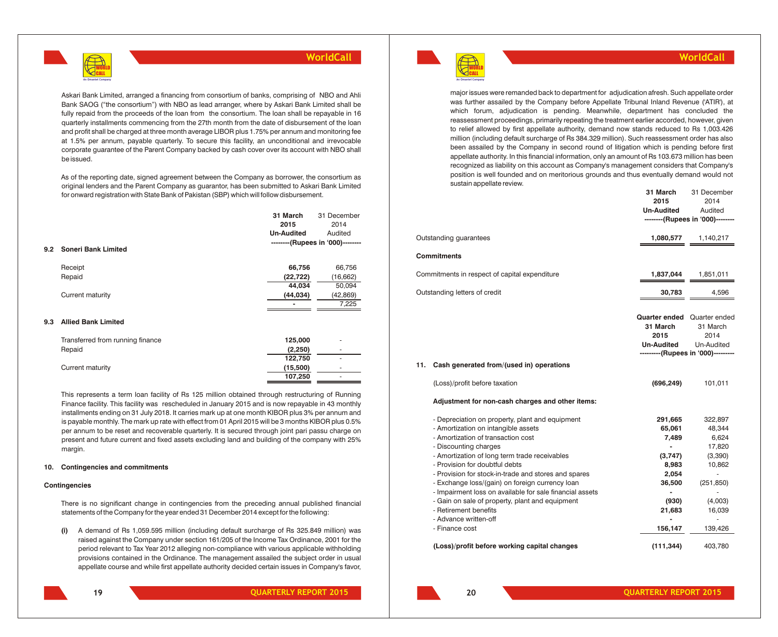

Askari Bank Limited, arranged a financing from consortium of banks, comprising of NBO and Ahli Bank SAOG ("the consortium") with NBO as lead arranger, where by Askari Bank Limited shall be fully repaid from the proceeds of the loan from the consortium. The loan shall be repayable in 16 quarterly installments commencing from the 27th month from the date of disbursement of the loan and profit shall be charged at three month average LIBOR plus 1.75% per annum and monitoring fee at 1.5% per annum, payable quarterly. To secure this facility, an unconditional and irrevocable corporate guarantee of the Parent Company backed by cash cover over its account with NBO shall be issued.

As of the reporting date, signed agreement between the Company as borrower, the consortium as original lenders and the Parent Company as guarantor, has been submitted to Askari Bank Limited for onward registration with State Bank of Pakistan (SBP) which will follow disbursement.

|     |                                  | 31 March          | 31 December                      |
|-----|----------------------------------|-------------------|----------------------------------|
|     |                                  | 2015              | 2014                             |
|     |                                  | <b>Un-Audited</b> | Audited                          |
|     |                                  |                   | --------(Rupees in '000)-------- |
| 9.2 | <b>Soneri Bank Limited</b>       |                   |                                  |
|     | Receipt                          | 66,756            | 66,756                           |
|     | Repaid                           | (22, 722)         | (16, 662)                        |
|     |                                  | 44,034            | 50,094                           |
|     | Current maturity                 | (44, 034)         | (42, 869)                        |
|     |                                  |                   | 7,225                            |
| 9.3 | <b>Allied Bank Limited</b>       |                   |                                  |
|     | Transferred from running finance | 125,000           |                                  |
|     | Repaid                           | (2, 250)          |                                  |
|     |                                  | 122,750           |                                  |
|     | Current maturity                 | (15,500)          | ۰                                |
|     |                                  | 107.250           |                                  |

This represents a term loan facility of Rs 125 million obtained through restructuring of Running Finance facility. This facility was rescheduled in January 2015 and is now repayable in 43 monthly installments ending on 31 July 2018. It carries mark up at one month KIBOR plus 3% per annum and is payable monthly. The mark up rate with effect from 01 April 2015 will be 3 months KIBOR plus 0.5% per annum to be reset and recoverable quarterly. It is secured through joint pari passu charge on present and future current and fixed assets excluding land and building of the company with 25% margin.

#### **10. Contingencies and commitments**

#### **Contingencies**

There is no significant change in contingencies from the preceding annual published financial statements of the Company for the year ended 31 December 2014 except for the following:

**(i)** A demand of Rs 1,059.595 million (including default surcharge of Rs 325.849 million) was raised against the Company under section 161/205 of the Income Tax Ordinance, 2001 for the period relevant to Tax Year 2012 alleging non-compliance with various applicable withholding provisions contained in the Ordinance. The management assailed the subject order in usual appellate course and while first appellate authority decided certain issues in Company's favor,

**19**

**QUARTERLY REPORT 2015 QUARTERLY REPORT 2015**

WORLD CALL **An Omantel Company**

### **WorldCall**

major issues were remanded back to department for adjudication afresh. Such appellate order was further assailed by the Company before Appellate Tribunal Inland Revenue ('ATIR'), at which forum, adjudication is pending. Meanwhile, department has concluded the reassessment proceedings, primarily repeating the treatment earlier accorded, however, given to relief allowed by first appellate authority, demand now stands reduced to Rs 1,003.426 million (including default surcharge of Rs 384.329 million). Such reassessment order has also been assailed by the Company in second round of litigation which is pending before first appellate authority. In this financial information, only an amount of Rs 103.673 million has been recognized as liability on this account as Company's management considers that Company's position is well founded and on meritorious grounds and thus eventually demand would not sustain appellate review.

|     |                                                                                                             | 31 March             | 31 December                        |
|-----|-------------------------------------------------------------------------------------------------------------|----------------------|------------------------------------|
|     |                                                                                                             | 2015                 | 2014                               |
|     |                                                                                                             | <b>Un-Audited</b>    | Audited                            |
|     |                                                                                                             |                      | --------(Rupees in '000)--------   |
|     | Outstanding guarantees                                                                                      | 1,080,577            | 1,140,217                          |
|     | Commitments                                                                                                 |                      |                                    |
|     | Commitments in respect of capital expenditure                                                               | 1,837,044            | 1,851,011                          |
|     | Outstanding letters of credit                                                                               | 30,783               | 4,596                              |
|     |                                                                                                             |                      |                                    |
|     |                                                                                                             | <b>Quarter ended</b> | Quarter ended                      |
|     |                                                                                                             | 31 March             | 31 March                           |
|     |                                                                                                             | 2015                 | 2014                               |
|     |                                                                                                             | <b>Un-Audited</b>    | Un-Audited                         |
|     |                                                                                                             |                      | ---------(Rupees in '000)--------- |
| 11. | Cash generated from/(used in) operations                                                                    |                      |                                    |
|     | (Loss)/profit before taxation                                                                               | (696, 249)           | 101,011                            |
|     | Adjustment for non-cash charges and other items:                                                            |                      |                                    |
|     | - Depreciation on property, plant and equipment                                                             | 291,665              | 322,897                            |
|     | - Amortization on intangible assets                                                                         | 65,061               | 48,344                             |
|     | - Amortization of transaction cost                                                                          | 7,489                | 6,624                              |
|     | - Discounting charges                                                                                       |                      | 17,820                             |
|     | - Amortization of long term trade receivables                                                               | (3,747)              | (3,390)                            |
|     | - Provision for doubtful debts                                                                              | 8,983                | 10,862                             |
|     | - Provision for stock-in-trade and stores and spares                                                        | 2,054                |                                    |
|     | - Exchange loss/(gain) on foreign currency loan<br>- Impairment loss on available for sale financial assets | 36,500               | (251, 850)                         |
|     | - Gain on sale of property, plant and equipment                                                             | (930)                | (4,003)                            |
|     | - Retirement benefits                                                                                       | 21,683               | 16,039                             |
|     | - Advance written-off                                                                                       |                      |                                    |
|     | - Finance cost                                                                                              | 156,147              | 139,426                            |
|     | (Loss)/profit before working capital changes                                                                | (111, 344)           | 403,780                            |
|     |                                                                                                             |                      |                                    |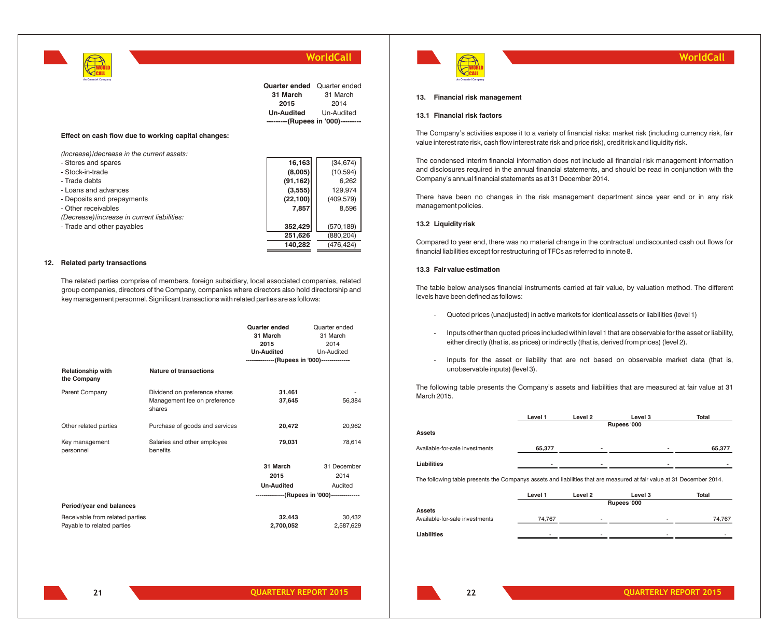| <b>Quarter ended</b> Quarter ended |            |
|------------------------------------|------------|
| 31 March                           | 31 March   |
| 2015                               | 2014       |
| <b>Un-Audited</b>                  | Un-Audited |
| ---------(Rupees in '000)--------- |            |
|                                    |            |

### **Effect on cash flow due to working capital changes:**

| (Increase)/decrease in the current assets:  |           |            |
|---------------------------------------------|-----------|------------|
| - Stores and spares                         | 16.163    | (34, 674)  |
| - Stock-in-trade                            | (8,005)   | (10, 594)  |
| - Trade debts                               | (91, 162) | 6,262      |
| - Loans and advances                        | (3,555)   | 129,974    |
| - Deposits and prepayments                  | (22, 100) | (409, 579) |
| - Other receivables                         | 7,857     | 8,596      |
| (Decrease)/increase in current liabilities: |           |            |
| - Trade and other payables                  | 352,429   | (570, 189) |
|                                             | 251.626   | (880, 204) |
|                                             | 140.282   | (476, 424) |

#### **12. Related party transactions**

WORLD CALL **An Omantel Company**

The related parties comprise of members, foreign subsidiary, local associated companies, related group companies, directors of the Company, companies where directors also hold directorship and key management personnel. Significant transactions with related parties are as follows:

|                                  |                                         | Quarter ended<br>31 March                     | Quarter ended<br>31 March                    |
|----------------------------------|-----------------------------------------|-----------------------------------------------|----------------------------------------------|
|                                  |                                         | 2015                                          | 2014                                         |
|                                  |                                         | <b>Un-Audited</b>                             | Un-Audited                                   |
|                                  |                                         | ---------------(Rupees in '000)-------------- |                                              |
| Relationship with<br>the Company | Nature of transactions                  |                                               |                                              |
| <b>Parent Company</b>            | Dividend on preference shares           | 31,461                                        |                                              |
|                                  | Management fee on preference<br>shares  | 37.645                                        | 56,384                                       |
| Other related parties            | Purchase of goods and services          | 20,472                                        | 20.962                                       |
| Key management<br>personnel      | Salaries and other employee<br>benefits | 79,031                                        | 78.614                                       |
|                                  |                                         | 31 March                                      | 31 December                                  |
|                                  |                                         | 2015                                          | 2014                                         |
|                                  |                                         | <b>Un-Audited</b>                             | Audited                                      |
|                                  |                                         |                                               | --------------(Rupees in '000)-------------- |
| Period/year end balances         |                                         |                                               |                                              |
| Receivable from related parties  |                                         | 32.443                                        | 30.432                                       |
| Payable to related parties       |                                         | 2,700,052                                     | 2,587,629                                    |



### **WorldCall**

#### **13. Financial risk management**

### **13.1 Financial risk factors**

The Company's activities expose it to a variety of financial risks: market risk (including currency risk, fair value interest rate risk, cash flow interest rate risk and price risk), credit risk and liquidity risk.

The condensed interim financial information does not include all financial risk management information and disclosures required in the annual financial statements, and should be read in conjunction with the Company's annual financial statements as at 31 December 2014.

There have been no changes in the risk management department since year end or in any risk management policies.

### **13.2 Liquidity risk**

Compared to year end, there was no material change in the contractual undiscounted cash out flows for financial liabilities except for restructuring of TFCs as referred to in note 8.

### **13.3 Fair value estimation**

The table below analyses financial instruments carried at fair value, by valuation method. The different levels have been defined as follows:

- Quoted prices (unadjusted) in active markets for identical assets or liabilities (level 1)
- Inputs other than quoted prices included within level 1 that are observable for the asset or liability, either directly (that is, as prices) or indirectly (that is, derived from prices) (level 2).
- Inputs for the asset or liability that are not based on observable market data (that is, unobservable inputs) (level 3).

The following table presents the Company's assets and liabilities that are measured at fair value at 31 March 2015.

|                                                                                                                       | Level 1 | Level 2 | Level 3     | Total  |
|-----------------------------------------------------------------------------------------------------------------------|---------|---------|-------------|--------|
| <b>Assets</b>                                                                                                         |         |         | Rupees '000 |        |
|                                                                                                                       |         |         |             |        |
| Available-for-sale investments                                                                                        | 65,377  |         |             | 65,377 |
| Liabilities                                                                                                           |         |         |             |        |
| The following table presents the Companys assets and liabilities that are measured at fair value at 31 December 2014. |         |         |             |        |
|                                                                                                                       | Level 1 | Level 2 | Level 3     | Total  |
|                                                                                                                       |         |         | Rupees '000 |        |
| <b>Assets</b>                                                                                                         |         |         |             |        |
| Available-for-sale investments                                                                                        | 74.767  |         |             | 74,767 |
| Liabilities                                                                                                           |         |         |             |        |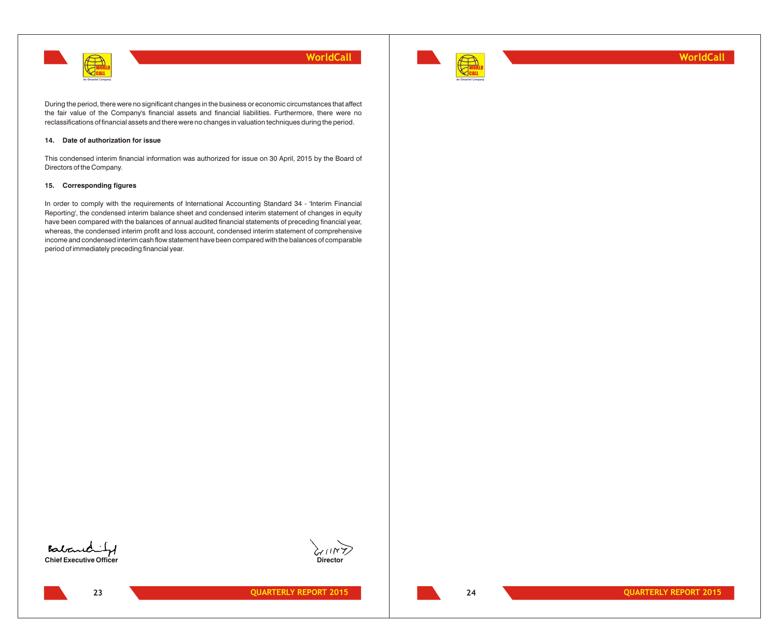



**WorldCall**

During the period, there were no significant changes in the business or economic circumstances that affect the fair value of the Company's financial assets and financial liabilities. Furthermore, there were no reclassifications of financial assets and there were no changes in valuation techniques during the period.

### **14. Date of authorization for issue**

This condensed interim financial information was authorized for issue on 30 April, 2015 by the Board of Directors of the Company.

### **15. Corresponding figures**

In order to comply with the requirements of International Accounting Standard 34 - 'Interim Financial Reporting', the condensed interim balance sheet and condensed interim statement of changes in equity have been compared with the balances of annual audited financial statements of preceding financial year, whereas, the condensed interim profit and loss account, condensed interim statement of comprehensive income and condensed interim cash flow statement have been compared with the balances of comparable period of immediately preceding financial year.



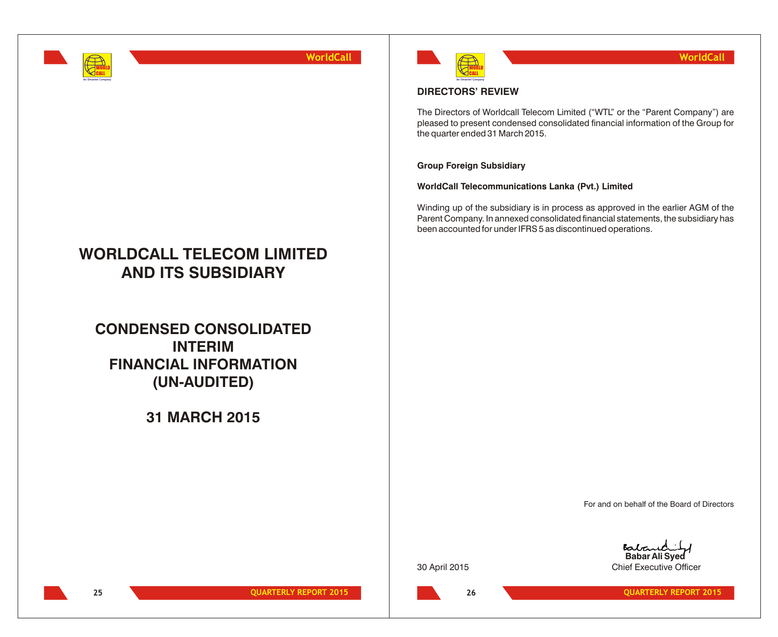

# **WORLDCALL TELECOM LIMITED AND ITS SUBSIDIARY**

**CONDENSED CONSOLIDATED INTERIM FINANCIAL INFORMATION (UN-AUDITED)**

### **31 MARCH 2015**



### **DIRECTORS' REVIEW**

The Directors of Worldcall Telecom Limited ("WTL" or the "Parent Company") are pleased to present condensed consolidated financial information of the Group for the quarter ended 31 March 2015.

### **Group Foreign Subsidiary**

**WorldCall Telecommunications Lanka (Pvt.) Limited**

Winding up of the subsidiary is in process as approved in the earlier AGM of the Parent Company. In annexed consolidated financial statements, the subsidiary has been accounted for under IFRS 5 as discontinued operations.

For and on behalf of the Board of Directors

**26**

**Babar Ali Syed** 30 April 2015 Chief Executive Officer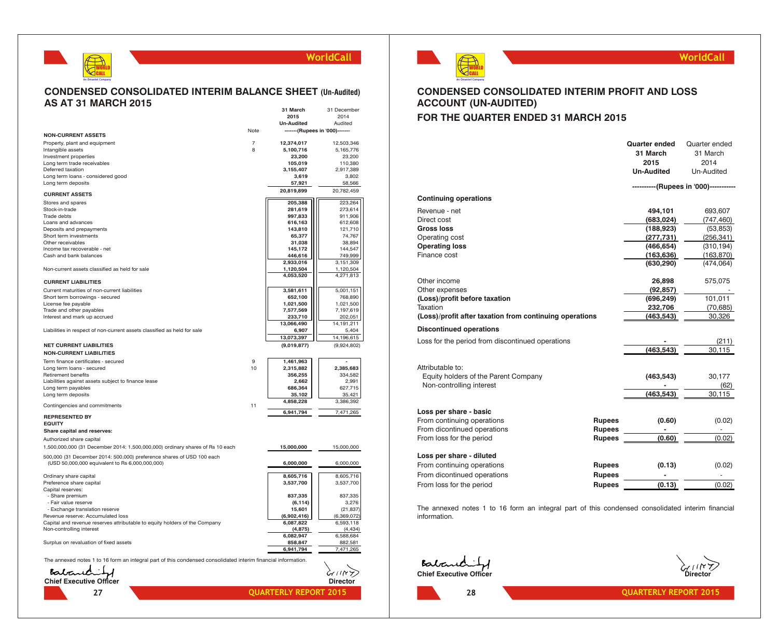

**27**

### **WorldCall**

### **CONDENSED CONSOLIDATED INTERIM BALANCE SHEET (Un-Audited) AS AT 31 MARCH 2015 31 March** 31 December

|                                                                                                               |                | 2015                  | 2014                           |
|---------------------------------------------------------------------------------------------------------------|----------------|-----------------------|--------------------------------|
|                                                                                                               |                | <b>Un-Audited</b>     | Audited                        |
| <b>NON-CURRENT ASSETS</b>                                                                                     | Note           |                       | -------(Rupees in '000)------- |
| Property, plant and equipment                                                                                 | $\overline{7}$ | 12,374,017            | 12,503,346                     |
| Intangible assets                                                                                             | 8              | 5,100,716             | 5,165,776                      |
| Investment properties                                                                                         |                | 23,200                | 23,200                         |
| Long term trade receivables                                                                                   |                | 105,019               | 110,380                        |
| Deferred taxation                                                                                             |                | 3,155,407             | 2,917,389                      |
| Long term loans - considered good                                                                             |                | 3,619                 | 3,802                          |
| Long term deposits                                                                                            |                | 57,921                | 58,566                         |
| <b>CURRENT ASSETS</b>                                                                                         |                | 20,819,899            | 20,782,459                     |
| Stores and spares                                                                                             |                | 205,388               | 223,264                        |
| Stock-in-trade                                                                                                |                | 281,619               | 273,614                        |
| Trade debts                                                                                                   |                | 997,833               | 911,906                        |
| Loans and advances<br>Deposits and prepayments                                                                |                | 616,163<br>143,810    | 612,608<br>121,710             |
| Short term investments                                                                                        |                | 65,377                | 74,767                         |
| Other receivables                                                                                             |                | 31,038                | 38,894                         |
| Income tax recoverable - net                                                                                  |                | 145,172               | 144,547                        |
| Cash and bank balances                                                                                        |                | 446,616               | 749,999                        |
|                                                                                                               |                | 2,933,016             | 3,151,309                      |
| Non-current assets classified as held for sale                                                                |                | 1,120,504             | 1,120,504                      |
| <b>CURRENT LIABILITIES</b>                                                                                    |                | 4,053,520             | 4,271,813                      |
|                                                                                                               |                |                       |                                |
| Current maturities of non-current liabilities<br>Short term borrowings - secured                              |                | 3,581,611<br>652,100  | 5,001,151<br>768,890           |
| License fee payable                                                                                           |                | 1,021,500             | 1,021,500                      |
| Trade and other payables                                                                                      |                | 7,577,569             | 7,197,619                      |
| Interest and mark up accrued                                                                                  |                | 233,710               | 202,051                        |
|                                                                                                               |                | 13,066,490            | 14, 191, 211                   |
| Liabilities in respect of non-current assets classified as held for sale                                      |                | 6,907                 | 5,404                          |
|                                                                                                               |                | 13,073,397            | 14,196,615                     |
| <b>NET CURRENT LIABILITIES</b>                                                                                |                | (9,019,877)           | (9,924,802)                    |
| <b>NON-CURRENT LIABILITIES</b>                                                                                |                |                       |                                |
| Term finance certificates - secured                                                                           | 9<br>10        | 1,461,963             |                                |
| Long term loans - secured<br>Retirement benefits                                                              |                | 2,315,882<br>356,255  | 2,385,683<br>334,582           |
| Liabilities against assets subject to finance lease                                                           |                | 2,662                 | 2,991                          |
| Long term payables                                                                                            |                | 686,364               | 627,715                        |
| Long term deposits                                                                                            |                | 35,102                | 35,421                         |
| Contingencies and commitments                                                                                 | 11             | 4,858,228             | 3,386,392                      |
|                                                                                                               |                | 6,941,794             | 7,471,265                      |
| <b>REPRESENTED BY</b>                                                                                         |                |                       |                                |
| <b>EQUITY</b>                                                                                                 |                |                       |                                |
| Share capital and reserves:                                                                                   |                |                       |                                |
| Authorized share capital                                                                                      |                |                       |                                |
| 1,500,000,000 (31 December 2014: 1,500,000,000) ordinary shares of Rs 10 each                                 |                | 15,000,000            | 15,000,000                     |
| 500,000 (31 December 2014: 500,000) preference shares of USD 100 each                                         |                |                       |                                |
| (USD 50,000,000 equivalent to Rs 6,000,000,000)                                                               |                | 6,000,000             | 6,000,000                      |
| Ordinary share capital                                                                                        |                | 8,605,716             | 8,605,716                      |
| Preference share capital                                                                                      |                | 3,537,700             | 3,537,700                      |
| Capital reserves:                                                                                             |                |                       |                                |
| - Share premium                                                                                               |                | 837,335               | 837,335                        |
| - Fair value reserve                                                                                          |                | (6, 114)              | 3,276                          |
| - Exchange translation reserve                                                                                |                | 15,601                | (21, 837)                      |
| Revenue reserve: Accumulated loss                                                                             |                | (6,902,416)           | (6,369,072)                    |
| Capital and revenue reserves attributable to equity holders of the Company<br>Non-controlling interest        |                | 6,087,822<br>(4, 875) | 6,593,118<br>(4, 434)          |
|                                                                                                               |                | 6,082,947             | 6,588,684                      |
| Surplus on revaluation of fixed assets                                                                        |                | 858,847               | 882,581                        |
|                                                                                                               |                | 6,941,794             | 7,471,265                      |
| The annexed notes 1 to 16 form an integral part of this condensed consolidated interim financial information. |                |                       |                                |
|                                                                                                               |                |                       |                                |
| Batanchil                                                                                                     |                |                       |                                |
| Chief Executive Officer                                                                                       |                |                       | Director                       |



### **WorldCall**

### **CONDENSED CONSOLIDATED INTERIM PROFIT AND LOSS ACCOUNT (UN-AUDITED)**

**FOR THE QUARTER ENDED 31 MARCH 2015**

|                                                         | <b>Quarter ended</b>    | Quarter ended                         |
|---------------------------------------------------------|-------------------------|---------------------------------------|
|                                                         | 31 March                | 31 March                              |
|                                                         | 2015                    | 2014                                  |
|                                                         | <b>Un-Audited</b>       | Un-Audited                            |
|                                                         |                         | ----------(Rupees in '000)----------- |
| <b>Continuing operations</b>                            |                         |                                       |
| Revenue - net                                           | 494,101                 | 693,607                               |
| Direct cost                                             | (683, 024)              | (747, 460)                            |
| <b>Gross loss</b>                                       | (188, 923)              | (53, 853)                             |
| Operating cost                                          | (277, 731)              | (256, 341)                            |
| <b>Operating loss</b>                                   | (466, 654)              | (310, 194)                            |
| Finance cost                                            | (163, 636)              | (163, 870)                            |
|                                                         | (630, 290)              | (474, 064)                            |
| Other income                                            | 26,898                  | 575,075                               |
| Other expenses                                          | (92, 857)               |                                       |
| (Loss)/profit before taxation                           | (696, 249)              | 101,011                               |
| Taxation                                                | 232,706                 | (70, 685)                             |
| (Loss)/profit after taxation from continuing operations | (463, 543)              | 30,326                                |
| <b>Discontinued operations</b>                          |                         |                                       |
| Loss for the period from discontinued operations        |                         | (211)                                 |
|                                                         | (463, 543)              | 30.115                                |
|                                                         |                         |                                       |
| Attributable to:                                        |                         |                                       |
| Equity holders of the Parent Company                    | (463, 543)              | 30,177                                |
| Non-controlling interest                                |                         | (62)                                  |
|                                                         | (463, 543)              | 30,115                                |
| Loss per share - basic                                  |                         |                                       |
| From continuing operations                              | <b>Rupees</b><br>(0.60) | (0.02)                                |
| From dicontinued operations                             | <b>Rupees</b>           |                                       |
| From loss for the period                                | (0.60)<br><b>Rupees</b> | (0.02)                                |
| Loss per share - diluted                                |                         |                                       |
| From continuing operations                              | <b>Rupees</b><br>(0.13) | (0.02)                                |
| From dicontinued operations                             | <b>Rupees</b>           |                                       |
| From loss for the period                                | (0.13)<br><b>Rupees</b> | (0.02)                                |

The annexed notes 1 to 16 form an integral part of this condensed consolidated interim financial information.

Babandity **Chief Executive Officer Director Chief Executive Officer Directors** 



**28**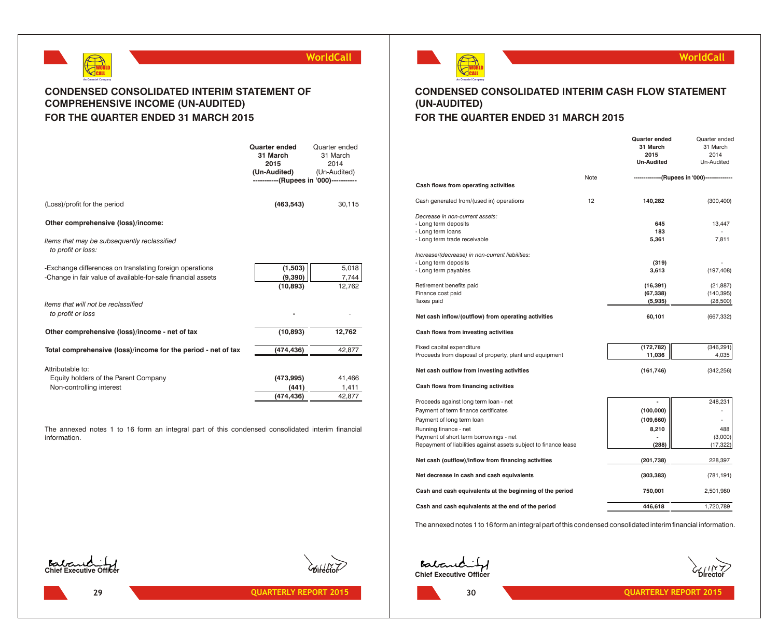



### **CONDENSED CONSOLIDATED INTERIM STATEMENT OF COMPREHENSIVE INCOME (UN-AUDITED) FOR THE QUARTER ENDED 31 MARCH 2015**

|                                                                                                                         | Quarter ended<br>31 March<br>2015<br>(Un-Audited)<br>-----------(Rupees in '000)----------- | Quarter ended<br>31 March<br>2014<br>(Un-Audited) |
|-------------------------------------------------------------------------------------------------------------------------|---------------------------------------------------------------------------------------------|---------------------------------------------------|
| (Loss)/profit for the period                                                                                            | (463, 543)                                                                                  | 30,115                                            |
| Other comprehensive (loss)/income:                                                                                      |                                                                                             |                                                   |
| Items that may be subsequently reclassified<br>to profit or loss:                                                       |                                                                                             |                                                   |
| -Exchange differences on translating foreign operations<br>-Change in fair value of available-for-sale financial assets | (1,503)<br>(9, 390)<br>(10, 893)                                                            | 5,018<br>7,744<br>12,762                          |
| Items that will not be reclassified<br>to profit or loss                                                                |                                                                                             |                                                   |
| Other comprehensive (loss)/income - net of tax                                                                          | (10, 893)                                                                                   | 12,762                                            |
| Total comprehensive (loss)/income for the period - net of tax                                                           | (474, 436)                                                                                  | 42,877                                            |
| Attributable to:                                                                                                        |                                                                                             |                                                   |
| Equity holders of the Parent Company                                                                                    | (473, 995)                                                                                  | 41,466                                            |
| Non-controlling interest                                                                                                | (441)<br>(474, 436)                                                                         | 1,411<br>42,877                                   |
|                                                                                                                         |                                                                                             |                                                   |

The annexed notes 1 to 16 form an integral part of this condensed consolidated interim financial information.



### **WorldCall**

### **CONDENSED CONSOLIDATED INTERIM CASH FLOW STATEMENT (UN-AUDITED)**

### **FOR THE QUARTER ENDED 31 MARCH 2015**

| 2015<br>2014<br><b>Un-Audited</b><br>Un-Audited<br>-----------(Rupees in '000)--------------<br>Note<br>Cash flows from operating activities<br>12<br>Cash generated from/(used in) operations<br>140,282<br>(300, 400)<br>Decrease in non-current assets:<br>- Long term deposits<br>645<br>13,447<br>- Long term loans<br>183<br>- Long term trade receivable<br>5,361<br>7,811<br>Increase/(decrease) in non-current liabilities:<br>- Long term deposits<br>(319)<br>3,613<br>- Long term payables<br>(197, 408)<br>Retirement benefits paid<br>(16, 391)<br>(21, 887)<br>Finance cost paid<br>(67, 338)<br>(140, 395)<br>Taxes paid<br>(5,935)<br>(28, 500)<br>Net cash inflow/(outflow) from operating activities<br>60,101<br>(667, 332)<br>Cash flows from investing activities<br>(172, 782)<br>(346, 291)<br>Fixed capital expenditure<br>11.036<br>Proceeds from disposal of property, plant and equipment<br>4.035<br>Net cash outflow from investing activities<br>(161, 746)<br>(342, 256)<br>Cash flows from financing activities<br>248,231<br>Proceeds against long term loan - net<br>(100, 000)<br>Payment of term finance certificates<br>(109, 660)<br>Payment of long term loan<br>8,210<br>488<br>Running finance - net<br>Payment of short term borrowings - net<br>(3,000)<br>Repayment of liabilities against assets subject to finance lease<br>(288)<br>(17, 322)<br>Net cash (outflow)/inflow from financing activities<br>(201, 738)<br>228,397<br>Net decrease in cash and cash equivalents<br>(303, 383)<br>(781, 191)<br>Cash and cash equivalents at the beginning of the period<br>750,001<br>2,501,980<br>1,720,789<br>Cash and cash equivalents at the end of the period<br>446,618 |  | Quarter ended | Quarter ended |
|--------------------------------------------------------------------------------------------------------------------------------------------------------------------------------------------------------------------------------------------------------------------------------------------------------------------------------------------------------------------------------------------------------------------------------------------------------------------------------------------------------------------------------------------------------------------------------------------------------------------------------------------------------------------------------------------------------------------------------------------------------------------------------------------------------------------------------------------------------------------------------------------------------------------------------------------------------------------------------------------------------------------------------------------------------------------------------------------------------------------------------------------------------------------------------------------------------------------------------------------------------------------------------------------------------------------------------------------------------------------------------------------------------------------------------------------------------------------------------------------------------------------------------------------------------------------------------------------------------------------------------------------------------------------------------------------------------------------------|--|---------------|---------------|
|                                                                                                                                                                                                                                                                                                                                                                                                                                                                                                                                                                                                                                                                                                                                                                                                                                                                                                                                                                                                                                                                                                                                                                                                                                                                                                                                                                                                                                                                                                                                                                                                                                                                                                                          |  | 31 March      | 31 March      |
|                                                                                                                                                                                                                                                                                                                                                                                                                                                                                                                                                                                                                                                                                                                                                                                                                                                                                                                                                                                                                                                                                                                                                                                                                                                                                                                                                                                                                                                                                                                                                                                                                                                                                                                          |  |               |               |
|                                                                                                                                                                                                                                                                                                                                                                                                                                                                                                                                                                                                                                                                                                                                                                                                                                                                                                                                                                                                                                                                                                                                                                                                                                                                                                                                                                                                                                                                                                                                                                                                                                                                                                                          |  |               |               |
|                                                                                                                                                                                                                                                                                                                                                                                                                                                                                                                                                                                                                                                                                                                                                                                                                                                                                                                                                                                                                                                                                                                                                                                                                                                                                                                                                                                                                                                                                                                                                                                                                                                                                                                          |  |               |               |
|                                                                                                                                                                                                                                                                                                                                                                                                                                                                                                                                                                                                                                                                                                                                                                                                                                                                                                                                                                                                                                                                                                                                                                                                                                                                                                                                                                                                                                                                                                                                                                                                                                                                                                                          |  |               |               |
|                                                                                                                                                                                                                                                                                                                                                                                                                                                                                                                                                                                                                                                                                                                                                                                                                                                                                                                                                                                                                                                                                                                                                                                                                                                                                                                                                                                                                                                                                                                                                                                                                                                                                                                          |  |               |               |
|                                                                                                                                                                                                                                                                                                                                                                                                                                                                                                                                                                                                                                                                                                                                                                                                                                                                                                                                                                                                                                                                                                                                                                                                                                                                                                                                                                                                                                                                                                                                                                                                                                                                                                                          |  |               |               |
|                                                                                                                                                                                                                                                                                                                                                                                                                                                                                                                                                                                                                                                                                                                                                                                                                                                                                                                                                                                                                                                                                                                                                                                                                                                                                                                                                                                                                                                                                                                                                                                                                                                                                                                          |  |               |               |
|                                                                                                                                                                                                                                                                                                                                                                                                                                                                                                                                                                                                                                                                                                                                                                                                                                                                                                                                                                                                                                                                                                                                                                                                                                                                                                                                                                                                                                                                                                                                                                                                                                                                                                                          |  |               |               |
|                                                                                                                                                                                                                                                                                                                                                                                                                                                                                                                                                                                                                                                                                                                                                                                                                                                                                                                                                                                                                                                                                                                                                                                                                                                                                                                                                                                                                                                                                                                                                                                                                                                                                                                          |  |               |               |
|                                                                                                                                                                                                                                                                                                                                                                                                                                                                                                                                                                                                                                                                                                                                                                                                                                                                                                                                                                                                                                                                                                                                                                                                                                                                                                                                                                                                                                                                                                                                                                                                                                                                                                                          |  |               |               |
|                                                                                                                                                                                                                                                                                                                                                                                                                                                                                                                                                                                                                                                                                                                                                                                                                                                                                                                                                                                                                                                                                                                                                                                                                                                                                                                                                                                                                                                                                                                                                                                                                                                                                                                          |  |               |               |
|                                                                                                                                                                                                                                                                                                                                                                                                                                                                                                                                                                                                                                                                                                                                                                                                                                                                                                                                                                                                                                                                                                                                                                                                                                                                                                                                                                                                                                                                                                                                                                                                                                                                                                                          |  |               |               |
|                                                                                                                                                                                                                                                                                                                                                                                                                                                                                                                                                                                                                                                                                                                                                                                                                                                                                                                                                                                                                                                                                                                                                                                                                                                                                                                                                                                                                                                                                                                                                                                                                                                                                                                          |  |               |               |
|                                                                                                                                                                                                                                                                                                                                                                                                                                                                                                                                                                                                                                                                                                                                                                                                                                                                                                                                                                                                                                                                                                                                                                                                                                                                                                                                                                                                                                                                                                                                                                                                                                                                                                                          |  |               |               |
|                                                                                                                                                                                                                                                                                                                                                                                                                                                                                                                                                                                                                                                                                                                                                                                                                                                                                                                                                                                                                                                                                                                                                                                                                                                                                                                                                                                                                                                                                                                                                                                                                                                                                                                          |  |               |               |
|                                                                                                                                                                                                                                                                                                                                                                                                                                                                                                                                                                                                                                                                                                                                                                                                                                                                                                                                                                                                                                                                                                                                                                                                                                                                                                                                                                                                                                                                                                                                                                                                                                                                                                                          |  |               |               |
|                                                                                                                                                                                                                                                                                                                                                                                                                                                                                                                                                                                                                                                                                                                                                                                                                                                                                                                                                                                                                                                                                                                                                                                                                                                                                                                                                                                                                                                                                                                                                                                                                                                                                                                          |  |               |               |
|                                                                                                                                                                                                                                                                                                                                                                                                                                                                                                                                                                                                                                                                                                                                                                                                                                                                                                                                                                                                                                                                                                                                                                                                                                                                                                                                                                                                                                                                                                                                                                                                                                                                                                                          |  |               |               |
|                                                                                                                                                                                                                                                                                                                                                                                                                                                                                                                                                                                                                                                                                                                                                                                                                                                                                                                                                                                                                                                                                                                                                                                                                                                                                                                                                                                                                                                                                                                                                                                                                                                                                                                          |  |               |               |
|                                                                                                                                                                                                                                                                                                                                                                                                                                                                                                                                                                                                                                                                                                                                                                                                                                                                                                                                                                                                                                                                                                                                                                                                                                                                                                                                                                                                                                                                                                                                                                                                                                                                                                                          |  |               |               |
|                                                                                                                                                                                                                                                                                                                                                                                                                                                                                                                                                                                                                                                                                                                                                                                                                                                                                                                                                                                                                                                                                                                                                                                                                                                                                                                                                                                                                                                                                                                                                                                                                                                                                                                          |  |               |               |
|                                                                                                                                                                                                                                                                                                                                                                                                                                                                                                                                                                                                                                                                                                                                                                                                                                                                                                                                                                                                                                                                                                                                                                                                                                                                                                                                                                                                                                                                                                                                                                                                                                                                                                                          |  |               |               |
|                                                                                                                                                                                                                                                                                                                                                                                                                                                                                                                                                                                                                                                                                                                                                                                                                                                                                                                                                                                                                                                                                                                                                                                                                                                                                                                                                                                                                                                                                                                                                                                                                                                                                                                          |  |               |               |
|                                                                                                                                                                                                                                                                                                                                                                                                                                                                                                                                                                                                                                                                                                                                                                                                                                                                                                                                                                                                                                                                                                                                                                                                                                                                                                                                                                                                                                                                                                                                                                                                                                                                                                                          |  |               |               |
|                                                                                                                                                                                                                                                                                                                                                                                                                                                                                                                                                                                                                                                                                                                                                                                                                                                                                                                                                                                                                                                                                                                                                                                                                                                                                                                                                                                                                                                                                                                                                                                                                                                                                                                          |  |               |               |
|                                                                                                                                                                                                                                                                                                                                                                                                                                                                                                                                                                                                                                                                                                                                                                                                                                                                                                                                                                                                                                                                                                                                                                                                                                                                                                                                                                                                                                                                                                                                                                                                                                                                                                                          |  |               |               |
|                                                                                                                                                                                                                                                                                                                                                                                                                                                                                                                                                                                                                                                                                                                                                                                                                                                                                                                                                                                                                                                                                                                                                                                                                                                                                                                                                                                                                                                                                                                                                                                                                                                                                                                          |  |               |               |
|                                                                                                                                                                                                                                                                                                                                                                                                                                                                                                                                                                                                                                                                                                                                                                                                                                                                                                                                                                                                                                                                                                                                                                                                                                                                                                                                                                                                                                                                                                                                                                                                                                                                                                                          |  |               |               |
|                                                                                                                                                                                                                                                                                                                                                                                                                                                                                                                                                                                                                                                                                                                                                                                                                                                                                                                                                                                                                                                                                                                                                                                                                                                                                                                                                                                                                                                                                                                                                                                                                                                                                                                          |  |               |               |
|                                                                                                                                                                                                                                                                                                                                                                                                                                                                                                                                                                                                                                                                                                                                                                                                                                                                                                                                                                                                                                                                                                                                                                                                                                                                                                                                                                                                                                                                                                                                                                                                                                                                                                                          |  |               |               |
|                                                                                                                                                                                                                                                                                                                                                                                                                                                                                                                                                                                                                                                                                                                                                                                                                                                                                                                                                                                                                                                                                                                                                                                                                                                                                                                                                                                                                                                                                                                                                                                                                                                                                                                          |  |               |               |

The annexed notes 1 to 16 form an integral part of this condensed consolidated interim financial information.





**29**

**QUARTERLY REPORT 2015 QUARTERLY REPORT 2015**

**Eatrument** 

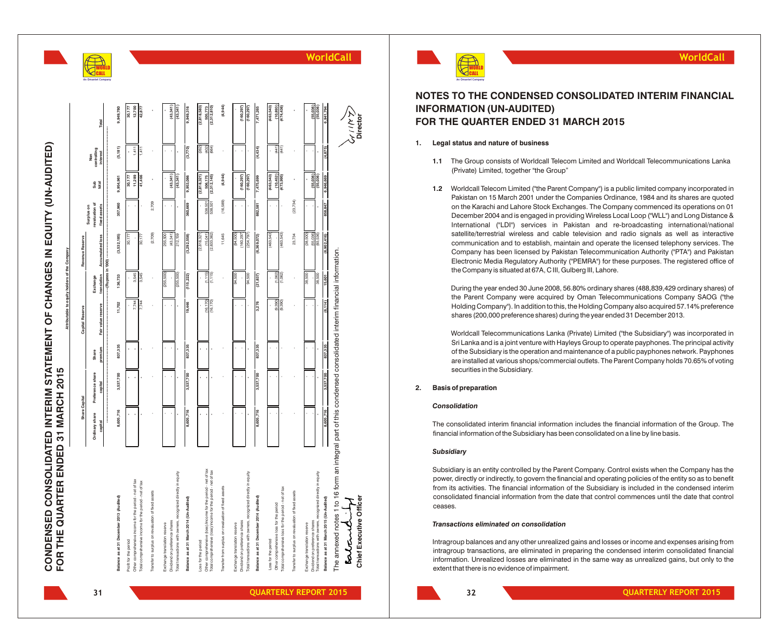| An Omantel Compan |
|-------------------|

### **WorldCall**

**WorldCall**



### **NOTES TO THE CONDENSED CONSOLIDATED INTERIM FINANCIAL INFORMATION (UN-AUDITED) FOR THE QUARTER ENDED 31 MARCH 2015**

### **1. Legal status and nature of business**

- **1.1** The Group consists of Worldcall Telecom Limited and Worldcall Telecommunications Lanka (Private) Limited, together "the Group"
- 1.2 Worldcall Telecom Limited ("the Parent Company") is a public limited company incorporated in Pakistan on 15 March 2001 under the Companies Ordinance, 1984 and its shares are quoted on the Karachi and Lahore Stock Exchanges. The Company commenced its operations on 01 December 2004 and is engaged in providing Wireless Local Loop ("WLL") and Long Distance & International ("LDI") services in Pakistan and re-broadcasting international/national satellite/terrestrial wireless and cable television and radio signals as well as interactive communication and to establish, maintain and operate the licensed telephony services. The Company has been licensed by Pakistan Telecommunication Authority ("PTA") and Pakistan Electronic Media Regulatory Authority ("PEMRA") for these purposes. The registered office of the Company is situated at 67A, C III, Gulberg III, Lahore.

During the year ended 30 June 2008, 56.80% ordinary shares (488,839,429 ordinary shares) of the Parent Company were acquired by Oman Telecommunications Company SAOG ("the Holding Company"). In addition to this, the Holding Company also acquired 57.14% preference shares (200,000 preference shares) during the year ended 31 December 2013.

Worldcall Telecommunications Lanka (Private) Limited ("the Subsidiary") was incorporated in Sri Lanka and is a joint venture with Hayleys Group to operate payphones. The principal activity of the Subsidiary is the operation and maintenance of a public payphones network. Payphones are installed at various shops/commercial outlets. The Parent Company holds 70.65% of voting securities in the Subsidiary .

#### **2. Basis of preparation**

### *Consolidation*

The consolidated interim financial information includes the financial information of the Group. The financial information of the Subsidiary has been consolidated on a line by line basis.

### *Subsidiary*

Subsidiary is an entity controlled by the Parent Company. Control exists when the Company has the power, directly or indirectly, to govern the financial and operating policies of the entity so as to benefit from its activities. The financial information of the Subsidiary is included in the condensed interim consolidated financial information from the date that control commences until the date that control ceases.

#### *Transactions eliminated on consolidation*

Intragroup balances and any other unrealized gains and losses or income and expenses arising from intragroup transactions, are eliminated in preparing the condensed interim consolidated financial information. Unrealized losses are eliminated in the same way as unrealized gains, but only to the extent that there is no evidence of impairment.

CONDENSED CONSOLIDATED INTERIM STATEMENT OF CHANGES IN EQUITY (UN-AUDITED)<br>FOR THE QUARTER ENDED 31 MARCH 2015 **CONDENSED CONSOLIDATED INTERIM STATEMENT OF CHANGES IN EQUITY (UN-AUDITED) FOR THE QUARTER ENDED 31 MARCH 2015**

**31**

|                                                                                                                                                  |                |                  |         | Attributable to equity holders of the Company |                                            |                         |                              |                          |                                |                          |
|--------------------------------------------------------------------------------------------------------------------------------------------------|----------------|------------------|---------|-----------------------------------------------|--------------------------------------------|-------------------------|------------------------------|--------------------------|--------------------------------|--------------------------|
|                                                                                                                                                  | Share Capital  |                  |         | Capital Reserve                               |                                            | Revenue Reserve         |                              |                          |                                |                          |
|                                                                                                                                                  | Ordinary share | Preference share | Share   |                                               | Exchange                                   |                         | revaluation of<br>Surplus on | Sub<br>total             | controlling<br>interest<br>Non |                          |
|                                                                                                                                                  | capital        | capital          | premium | Fair value reserve                            | ----- (Rupees in '000) ----<br>translation | Accumulated loss        | fixed assets                 |                          |                                | Total                    |
| Balance as at 31 December 2013 (Audited)                                                                                                         | 8,605,716      | 3,537,700        | 837,335 | 11,702                                        | 136,733                                    | (3,532,185)             | 357,960                      | 9,954,961                | (5, 181)                       | 9,949,780                |
| Profit for the period                                                                                                                            |                |                  |         |                                               |                                            | 30,177                  |                              | 30,177                   |                                | 30,177                   |
| Other comprehensive income for the period - net of tax                                                                                           |                |                  |         | 7,744                                         | 3,545                                      |                         |                              | 11,289                   | 1,411                          | 12,700                   |
| Total comprehensive income for the period - net of tax                                                                                           |                |                  |         | 7,744                                         | 3,545                                      | 30,177                  |                              | 41,466                   | 1,411                          | 42,877                   |
| Transfer to surplus on revaluation of fixed assets                                                                                               |                |                  |         |                                               |                                            | (2,709)                 | 2,709                        |                          |                                |                          |
| Exchange translation reserve                                                                                                                     |                |                  |         |                                               | (255, 500)                                 | 255,500                 |                              |                          |                                |                          |
| Dividend on preference shares                                                                                                                    |                |                  |         |                                               |                                            | (43,341)                |                              | (43, 341)                |                                | (43, 341)                |
| Total transactions with owners, recognized directly in equity                                                                                    |                |                  |         |                                               | (255, 500)                                 | 212,159                 |                              | (43, 341)                |                                | (43, 341)                |
| Balance as at 31 March 2014 (Un-Audited)                                                                                                         | 8,605,716      | 3,537,700        | 837,335 | 19,446                                        | (115, 222)                                 | (3,292,558)             | 360,669                      | 9,953,086                | (3,770)                        | 9,949,316                |
| Loss for the period                                                                                                                              |                |                  |         |                                               | (1, 115)                                   | (15.041)<br>(2,818,321) | 538,501                      | 506,175<br>(2,818,321)   | (262)                          | (2, 818, 583)<br>505,773 |
| Other comprehensive (loss)/income for the period - net of tax<br>Total comprehensive (loss)/income for the period - net of tax                   |                |                  |         | (16, 170)<br>(16, 170)                        | (1, 115)                                   | (2,833,362)             | 538,501                      | (2,312,145)              | $(402)$<br>$(664)$             | (2, 312, 810)            |
| Transfer from surplus on revaluation of fixed assets                                                                                             |                |                  |         |                                               |                                            | 11,645                  | (16,589)                     | (4, 944)                 |                                | (4, 944)                 |
| Exchange translation reserve                                                                                                                     |                |                  |         |                                               | 94,500                                     | (94,500)                |                              |                          |                                |                          |
| Dividend on preference shares                                                                                                                    |                |                  |         | ï                                             |                                            | (160, 297)              |                              | (160, 297)               |                                | (160, 297)               |
| Total transactions with owners, recognized directly in equity                                                                                    |                |                  |         |                                               | 94,500                                     | (254, 797)              |                              | (160, 297)               |                                | (160, 297)               |
| Balance as at 31 December 2014 (Audited)                                                                                                         | 8,605,716      | 3,537,700        | 837,335 | 3,276                                         | (21, 837)                                  | (6, 369, 072)           | 882,581                      | 7,475,699                | (4, 434)                       | 7,471,265                |
| Loss for the period                                                                                                                              |                |                  |         |                                               |                                            | (463, 543)              |                              | (463, 543)               |                                | (463, 543)               |
| Total comprehensive loss for the period - net of tax<br>Other comprehensive loss for the period                                                  |                |                  |         | (9,390)<br>(066'6)                            | (1,062)<br>(1,062)                         | (463, 543)              |                              | (10, 452)<br>(473, 995)  | (441)<br>(441)                 | (10, 893)<br>(474, 436)  |
|                                                                                                                                                  |                |                  |         |                                               |                                            |                         |                              |                          |                                |                          |
| Transfer to surplus on revaluation of fixed assets                                                                                               |                |                  |         |                                               |                                            | 23,734                  | (23,734)                     |                          |                                |                          |
| Exchange translation reserve                                                                                                                     |                |                  |         |                                               | 38,500                                     | (38,500)                |                              |                          |                                |                          |
| Total transactions with owners, recognized directly in equity<br>Dividend on preference shares                                                   |                |                  |         |                                               | 38,500                                     | (55,036)<br>(93,536)    |                              | $(55,036)$<br>$(55,036)$ |                                | (55,036)                 |
| Balance as at 31 March 2015 (Un-Audited)                                                                                                         | 8,605,716      | 3,537,700        | 837,335 | (6, 114)                                      | 15,601                                     | (6,902,416)             | 858,847                      | 6,946,669                | (4, 875)                       | 6,11,194                 |
| The annexed notes 1 to 16 form an integral part of this condensed consolidated interim financial information.<br>Chief Executive Officer<br>alan |                |                  |         |                                               |                                            |                         |                              |                          |                                | ドラニト<br>Director         |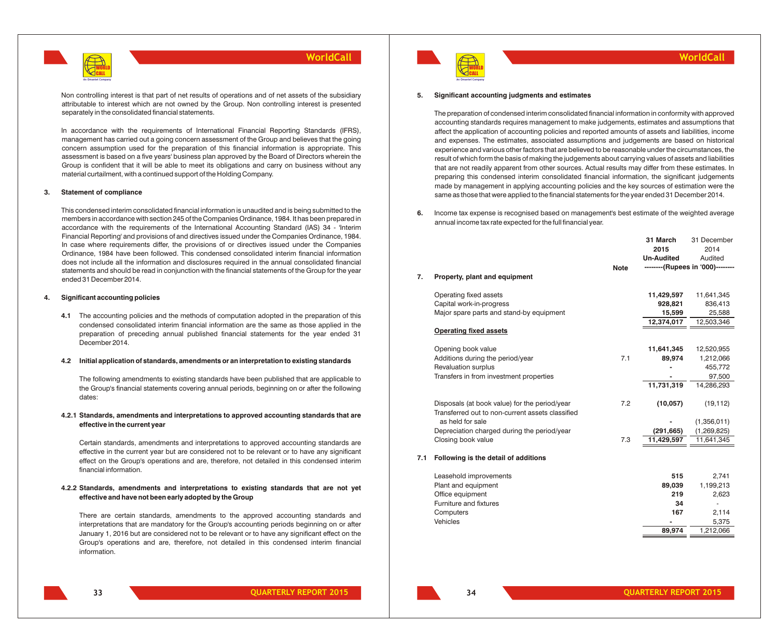

Non controlling interest is that part of net results of operations and of net assets of the subsidiary attributable to interest which are not owned by the Group. Non controlling interest is presented separately in the consolidated financial statements.

In accordance with the requirements of International Financial Reporting Standards (IFRS), management has carried out a going concern assessment of the Group and believes that the going concern assumption used for the preparation of this financial information is appropriate. This assessment is based on a five years' business plan approved by the Board of Directors wherein the Group is confident that it will be able to meet its obligations and carry on business without any material curtailment, with a continued support of the Holding Company.

#### **3. Statement of compliance**

This condensed interim consolidated financial information is unaudited and is being submitted to the members in accordance with section 245 of the Companies Ordinance, 1984. It has been prepared in accordance with the requirements of the International Accounting Standard (IAS) 34 - 'Interim Financial Reporting' and provisions of and directives issued under the Companies Ordinance, 1984. In case where requirements differ, the provisions of or directives issued under the Companies Ordinance, 1984 have been followed. This condensed consolidated interim financial information does not include all the information and disclosures required in the annual consolidated financial statements and should be read in conjunction with the financial statements of the Group for the year ended 31 December 2014.

#### **4. Significant accounting policies**

**4.1** The accounting policies and the methods of computation adopted in the preparation of this condensed consolidated interim financial information are the same as those applied in the preparation of preceding annual published financial statements for the year ended 31 December 2014.

#### **4.2 Initial application of standards, amendments or an interpretation to existing standards**

The following amendments to existing standards have been published that are applicable to the Group's financial statements covering annual periods, beginning on or after the following dates:

### **4.2.1 Standards, amendments and interpretations to approved accounting standards that are effective in the current year**

Certain standards, amendments and interpretations to approved accounting standards are effective in the current year but are considered not to be relevant or to have any significant effect on the Group's operations and are, therefore, not detailed in this condensed interim financial information.

#### **4.2.2 Standards, amendments and interpretations to existing standards that are not yet effective and have not been early adopted by the Group**

There are certain standards, amendments to the approved accounting standards and interpretations that are mandatory for the Group's accounting periods beginning on or after January 1, 2016 but are considered not to be relevant or to have any significant effect on the Group's operations and are, therefore, not detailed in this condensed interim financial information.



### **WorldCall**

31 December

**31 March**

#### **5. Significant accounting judgments and estimates**

The preparation of condensed interim consolidated financial information in conformity with approved accounting standards requires management to make judgements, estimates and assumptions that affect the application of accounting policies and reported amounts of assets and liabilities, income and expenses. The estimates, associated assumptions and judgements are based on historical experience and various other factors that are believed to be reasonable under the circumstances, the result of which form the basis of making the judgements about carrying values of assets and liabilities that are not readily apparent from other sources. Actual results may differ from these estimates. In preparing this condensed interim consolidated financial information, the significant judgements made by management in applying accounting policies and the key sources of estimation were the same as those that were applied to the financial statements for the year ended 31 December 2014.

**6.** Income tax expense is recognised based on management's best estimate of the weighted average annual income tax rate expected for the full financial year.

| 7.  | Property, plant and equipment                                                                     | <b>Note</b> | э і магсп<br>2015<br><b>Un-Audited</b> | 31 December<br>2014<br>Audited<br>--------(Rupees in '000)-------- |
|-----|---------------------------------------------------------------------------------------------------|-------------|----------------------------------------|--------------------------------------------------------------------|
|     | Operating fixed assets                                                                            |             | 11,429,597                             | 11,641,345                                                         |
|     | Capital work-in-progress                                                                          |             | 928,821                                | 836,413                                                            |
|     | Major spare parts and stand-by equipment                                                          |             | 15,599                                 | 25,588                                                             |
|     |                                                                                                   |             | 12,374,017                             | 12,503,346                                                         |
|     | <b>Operating fixed assets</b>                                                                     |             |                                        |                                                                    |
|     | Opening book value                                                                                |             | 11,641,345                             | 12,520,955                                                         |
|     | Additions during the period/year                                                                  | 7.1         | 89,974                                 | 1,212,066                                                          |
|     | <b>Revaluation surplus</b>                                                                        |             |                                        | 455,772                                                            |
|     | Transfers in from investment properties                                                           |             |                                        | 97,500                                                             |
|     |                                                                                                   |             | 11,731,319                             | 14,286,293                                                         |
|     | Disposals (at book value) for the period/year<br>Transferred out to non-current assets classified | 7.2         | (10, 057)                              | (19, 112)                                                          |
|     | as held for sale                                                                                  |             |                                        | (1,356,011)                                                        |
|     | Depreciation charged during the period/year                                                       |             | (291, 665)                             | (1, 269, 825)                                                      |
|     | Closing book value                                                                                | 7.3         | 11,429,597                             | 11,641,345                                                         |
| 7.1 | Following is the detail of additions                                                              |             |                                        |                                                                    |
|     | Leasehold improvements                                                                            |             | 515                                    | 2,741                                                              |
|     | Plant and equipment                                                                               |             | 89,039                                 | 1,199,213                                                          |
|     | Office equipment                                                                                  |             | 219                                    | 2,623                                                              |
|     | Furniture and fixtures                                                                            |             | 34                                     |                                                                    |
|     | Computers                                                                                         |             | 167                                    | 2,114                                                              |
|     | Vehicles                                                                                          |             |                                        | 5,375                                                              |
|     |                                                                                                   |             | 89,974                                 | 1,212,066                                                          |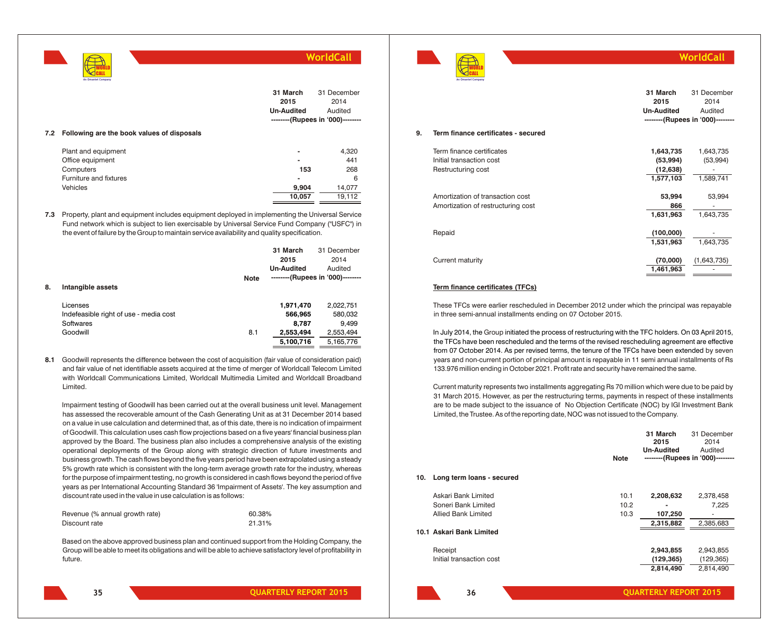|                                                | 31 March<br>2015<br><b>Un-Audited</b> | 31 December<br>2014<br>Audited<br>--------(Rupees in '000)-------- |
|------------------------------------------------|---------------------------------------|--------------------------------------------------------------------|
| 7.2 Following are the book values of disposals |                                       |                                                                    |
| Plant and equipment                            |                                       | 4,320                                                              |
| Office equipment                               | -                                     | 441                                                                |
| Computers                                      | 153                                   | 268                                                                |
| Furniture and fixtures                         | -                                     | 6                                                                  |
| Vehicles                                       | 9,904                                 | 14,077                                                             |
|                                                | 10,057                                | 19,112                                                             |
|                                                |                                       |                                                                    |

WORLD CALL **An Omantel Company**

**7.3** Property, plant and equipment includes equipment deployed in implementing the Universal Service Fund network which is subject to lien exercisable by Universal Service Fund Company ("USFC") in the event of failure by the Group to maintain service availability and quality specification.

|    |                                        |             | 31 March          | 31 December                      |
|----|----------------------------------------|-------------|-------------------|----------------------------------|
|    |                                        |             | 2015              | 2014                             |
|    |                                        |             | <b>Un-Audited</b> | Audited                          |
|    |                                        | <b>Note</b> |                   | --------(Rupees in '000)-------- |
| 8. | Intangible assets                      |             |                   |                                  |
|    | Licenses                               |             | 1,971,470         | 2,022,751                        |
|    | Indefeasible right of use - media cost |             | 566,965           | 580,032                          |
|    | Softwares                              |             | 8.787             | 9.499                            |
|    | Goodwill                               | 8.1         | 2,553,494         | 2,553,494                        |
|    |                                        |             | 5,100,716         | 5,165,776                        |

**8.1** Goodwill represents the difference between the cost of acquisition (fair value of consideration paid) and fair value of net identifiable assets acquired at the time of merger of Worldcall Telecom Limited with Worldcall Communications Limited, Worldcall Multimedia Limited and Worldcall Broadband Limited.

Impairment testing of Goodwill has been carried out at the overall business unit level. Management has assessed the recoverable amount of the Cash Generating Unit as at 31 December 2014 based on a value in use calculation and determined that, as of this date, there is no indication of impairment of Goodwill. This calculation uses cash flow projections based on a five years' financial business plan approved by the Board. The business plan also includes a comprehensive analysis of the existing operational deployments of the Group along with strategic direction of future investments and business growth. The cash flows beyond the five years period have been extrapolated using a steady 5% growth rate which is consistent with the long-term average growth rate for the industry, whereas for the purpose of impairment testing, no growth is considered in cash flows beyond the period of five years as per International Accounting Standard 36 'Impairment of Assets'. The key assumption and discount rate used in the value in use calculation is as follows:

| Revenue (% annual growth rate) | 60.38% |
|--------------------------------|--------|
| Discount rate                  | 21.31% |

Based on the above approved business plan and continued support from the Holding Company, the Group will be able to meet its obligations and will be able to achieve satisfactory level of profitability in future.

**An Omantel Company**

**9. Term finance certificates - secured** Term finance certificates **1,643,735** 1,643,735 Initial transaction cost **(53,994)** (53,994) Restructuring cost **(12,638)** - **(12,638)** - **(12,638) 1,577,103** 1,589,741 Amortization of transaction cost **53,994** 53,994 Amortization of restructuring cost **866** - **31 March 2015 Un-Audited** 31 December 2014 Audited **--------(Rupees in '000)--------**

**WorldCall**

| Allioluzation or restructumiq cost | uuu       |             |
|------------------------------------|-----------|-------------|
|                                    | 1,631,963 | 1,643,735   |
| Repaid                             | (100,000) | ۰           |
|                                    | 1,531,963 | 1,643,735   |
| Current maturity                   | (70,000)  | (1,643,735) |
|                                    | 1,461,963 | ۰           |

#### **Term finance certificates (TFCs)**

These TFCs were earlier rescheduled in December 2012 under which the principal was repayable in three semi-annual installments ending on 07 October 2015.

In July 2014, the Group initiated the process of restructuring with the TFC holders. On 03 April 2015, from 07 October 2014. As per revised terms, the tenure of the TFCs have been extended by seven years and non-current portion of principal amount is repayable in 11 semi annual installments of Rs 133.976 million ending in October 2021. Profit rate and security have remained the same. the TFCs have been rescheduled and the terms of the revised rescheduling agreement are effective

Current maturity represents two installments aggregating Rs 70 million which were due to be paid by 31 March 2015. However, as per the restructuring terms, payments in respect of these installments are to be made subject to the issuance of No Objection Certificate (NOC) by IGI Investment Bank Limited, the Trustee. As of the reporting date, NOC was not issued to the Company.

|     |                           |             | 31 March<br>2015<br><b>Un-Audited</b> | 31 December<br>2014<br>Audited   |
|-----|---------------------------|-------------|---------------------------------------|----------------------------------|
|     |                           | <b>Note</b> |                                       | --------(Rupees in '000)-------- |
| 10. | Long term loans - secured |             |                                       |                                  |
|     | Askari Bank Limited       | 10.1        | 2,208,632                             | 2,378,458                        |
|     | Soneri Bank Limited       | 10.2        | -                                     | 7,225                            |
|     | Allied Bank Limited       | 10.3        | 107,250                               | ۰                                |
|     |                           |             | 2,315,882                             | 2,385,683                        |
|     | 10.1 Askari Bank Limited  |             |                                       |                                  |
|     | Receipt                   |             | 2,943,855                             | 2,943,855                        |
|     | Initial transaction cost  |             | (129, 365)                            | (129, 365)                       |
|     |                           |             | 2,814,490                             | 2,814,490                        |
|     |                           |             |                                       |                                  |

**36**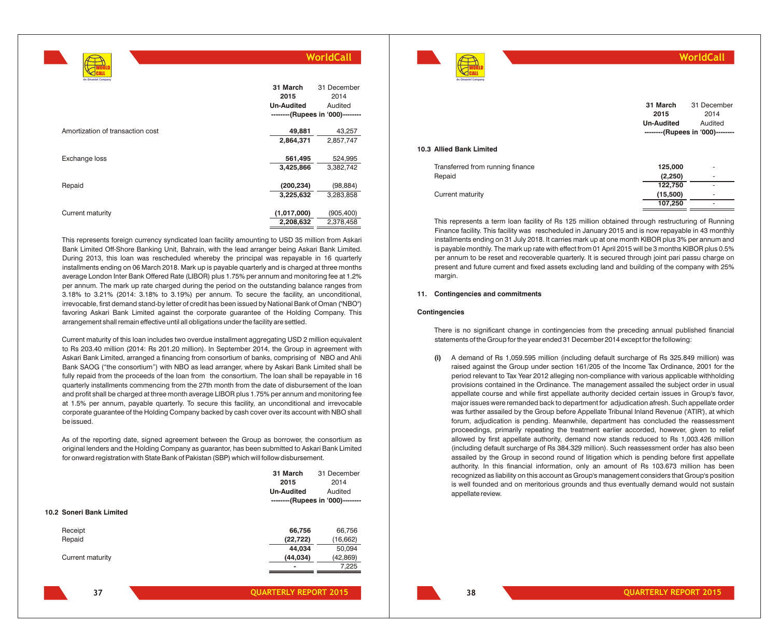|                                  | 31 March<br>2015  | 31 December<br>2014             |
|----------------------------------|-------------------|---------------------------------|
|                                  | <b>Un-Audited</b> | Audited                         |
|                                  |                   | --------(Rupees in '000)------- |
| Amortization of transaction cost | 49,881            | 43,257                          |
|                                  | 2,864,371         | 2,857,747                       |
|                                  |                   |                                 |
| Exchange loss                    | 561,495           | 524,995                         |
|                                  | 3,425,866         | 3,382,742                       |
|                                  |                   |                                 |
| Repaid                           | (200, 234)        | (98, 884)                       |
|                                  | 3,225,632         | 3,283,858                       |
|                                  |                   |                                 |
| Current maturity                 | (1,017,000)       | (905, 400)                      |
|                                  | 2,208,632         | 2,378,458                       |
|                                  |                   |                                 |

WORLD CALL **An Omantel Company**

**37**

This represents foreign currency syndicated loan facility amounting to USD 35 million from Askari Bank Limited Off-Shore Banking Unit, Bahrain, with the lead arranger being Askari Bank Limited. During 2013, this loan was rescheduled whereby the principal was repayable in 16 quarterly installments ending on 06 March 2018. Mark up is payable quarterly and is charged at three months average London Inter Bank Offered Rate (LIBOR) plus 1.75% per annum and monitoring fee at 1.2% per annum. The mark up rate charged during the period on the outstanding balance ranges from 3.18% to 3.21% (2014: 3.18% to 3.19%) per annum. To secure the facility, an unconditional, irrevocable, first demand stand-by letter of credit has been issued by National Bank of Oman ("NBO") favoring Askari Bank Limited against the corporate guarantee of the Holding Company. This arrangement shall remain effective until all obligations under the facility are settled.

Current maturity of this loan includes two overdue installment aggregating USD 2 million equivalent to Rs 203.40 million (2014: Rs 201.20 million). In September 2014, the Group in agreement with Askari Bank Limited, arranged a financing from consortium of banks, comprising of NBO and Ahli Bank SAOG ("the consortium") with NBO as lead arranger, where by Askari Bank Limited shall be fully repaid from the proceeds of the loan from the consortium. The loan shall be repayable in 16 quarterly installments commencing from the 27th month from the date of disbursement of the loan and profit shall be charged at three month average LIBOR plus 1.75% per annum and monitoring fee at 1.5% per annum, payable quarterly. To secure this facility, an unconditional and irrevocable corporate guarantee of the Holding Company backed by cash cover over its account with NBO shall be issued.

As of the reporting date, signed agreement between the Group as borrower, the consortium as original lenders and the Holding Company as guarantor, has been submitted to Askari Bank Limited for onward registration with State Bank of Pakistan (SBP) which will follow disbursement.

|                  | 31 March                 | 31 December                      |
|------------------|--------------------------|----------------------------------|
|                  | 2015                     | 2014                             |
|                  | <b>Un-Audited</b>        | Audited                          |
|                  |                          | --------(Rupees in '000)-------- |
|                  |                          |                                  |
| Receipt          | 66,756                   | 66,756                           |
| Repaid           | (22, 722)                | (16, 662)                        |
|                  | 44,034                   | 50,094                           |
| Current maturity | (44, 034)                | (42,869)                         |
|                  | $\overline{\phantom{0}}$ | 7,225                            |
|                  |                          |                                  |
|                  | 10.2 Soneri Bank Limited |                                  |



**10.3 Allied Bank Limited**

|                                  | 31 March          | 31 December                      |
|----------------------------------|-------------------|----------------------------------|
|                                  | 2015              | 2014                             |
|                                  | <b>Un-Audited</b> | Audited                          |
|                                  |                   | --------(Rupees in '000)-------- |
| <b>Allied Bank Limited</b>       |                   |                                  |
| Transferred from running finance | 125,000           | ۰                                |
| Repaid                           | (2, 250)          | ۰                                |
|                                  | 122,750           | ۰                                |
| Current maturity                 | (15,500)          |                                  |
|                                  | 107.250           | ۰                                |

**WorldCall**

This represents a term loan facility of Rs 125 million obtained through restructuring of Running Finance facility. This facility was rescheduled in January 2015 and is now repayable in 43 monthly installments ending on 31 July 2018. It carries mark up at one month KIBOR plus 3% per annum and is payable monthly. The mark up rate with effect from 01 April 2015 will be 3 months KIBOR plus 0.5% per annum to be reset and recoverable quarterly. It is secured through joint pari passu charge on present and future current and fixed assets excluding land and building of the company with 25% margin.

#### **11. Contingencies and commitments**

#### **Contingencies**

There is no significant change in contingencies from the preceding annual published financial statements of the Group for the year ended 31 December 2014 except for the following:

**(i)** A demand of Rs 1,059.595 million (including default surcharge of Rs 325.849 million) was raised against the Group under section 161/205 of the Income Tax Ordinance, 2001 for the period relevant to Tax Year 2012 alleging non-compliance with various applicable withholding provisions contained in the Ordinance. The management assailed the subject order in usual appellate course and while first appellate authority decided certain issues in Group's favor, major issues were remanded back to department for adjudication afresh. Such appellate order was further assailed by the Group before Appellate Tribunal Inland Revenue ('ATIR'), at which forum, adjudication is pending. Meanwhile, department has concluded the reassessment proceedings, primarily repeating the treatment earlier accorded, however, given to relief allowed by first appellate authority, demand now stands reduced to Rs 1,003.426 million (including default surcharge of Rs 384.329 million). Such reassessment order has also been assailed by the Group in second round of litigation which is pending before first appellate authority. In this financial information, only an amount of Rs 103.673 million has been recognized as liability on this account as Group's management considers that Group's position is well founded and on meritorious grounds and thus eventually demand would not sustain appellate review.

**38**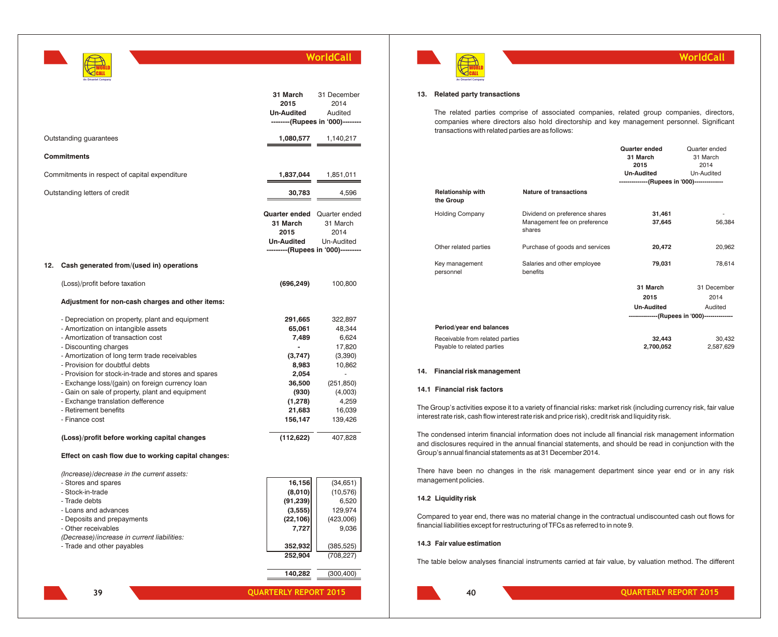| An Omantel Company |
|--------------------|

|     |                                                                                                                                                                                                                                                                                                                                                                                                                                                                                                                                        | 31 March<br>2015<br><b>Un-Audited</b>                                                                                    | 31 December<br>2014<br>Audited<br>--------(Rupees in '000)--------                                                          |
|-----|----------------------------------------------------------------------------------------------------------------------------------------------------------------------------------------------------------------------------------------------------------------------------------------------------------------------------------------------------------------------------------------------------------------------------------------------------------------------------------------------------------------------------------------|--------------------------------------------------------------------------------------------------------------------------|-----------------------------------------------------------------------------------------------------------------------------|
|     | Outstanding guarantees                                                                                                                                                                                                                                                                                                                                                                                                                                                                                                                 | 1,080,577                                                                                                                | 1,140,217                                                                                                                   |
|     | <b>Commitments</b>                                                                                                                                                                                                                                                                                                                                                                                                                                                                                                                     |                                                                                                                          |                                                                                                                             |
|     | Commitments in respect of capital expenditure                                                                                                                                                                                                                                                                                                                                                                                                                                                                                          | 1,837,044                                                                                                                | 1,851,011                                                                                                                   |
|     | Outstanding letters of credit                                                                                                                                                                                                                                                                                                                                                                                                                                                                                                          | 30,783                                                                                                                   | 4.596                                                                                                                       |
|     |                                                                                                                                                                                                                                                                                                                                                                                                                                                                                                                                        | <b>Quarter ended</b> Quarter ended<br>31 March<br>2015<br><b>Un-Audited</b>                                              | 31 March<br>2014<br>Un-Audited<br>---------(Rupees in '000)---------                                                        |
| 12. | Cash generated from/(used in) operations                                                                                                                                                                                                                                                                                                                                                                                                                                                                                               |                                                                                                                          |                                                                                                                             |
|     | (Loss)/profit before taxation                                                                                                                                                                                                                                                                                                                                                                                                                                                                                                          | (696, 249)                                                                                                               | 100,800                                                                                                                     |
|     | Adjustment for non-cash charges and other items:                                                                                                                                                                                                                                                                                                                                                                                                                                                                                       |                                                                                                                          |                                                                                                                             |
|     | - Depreciation on property, plant and equipment<br>- Amortization on intangible assets<br>- Amortization of transaction cost<br>- Discounting charges<br>- Amortization of long term trade receivables<br>- Provision for doubtful debts<br>- Provision for stock-in-trade and stores and spares<br>- Exchange loss/(gain) on foreign currency loan<br>- Gain on sale of property, plant and equipment<br>- Exchange translation defference<br>- Retirement benefits<br>- Finance cost<br>(Loss)/profit before working capital changes | 291,665<br>65,061<br>7,489<br>(3,747)<br>8,983<br>2,054<br>36,500<br>(930)<br>(1,278)<br>21,683<br>156,147<br>(112, 622) | 322,897<br>48,344<br>6,624<br>17,820<br>(3,390)<br>10,862<br>(251, 850)<br>(4,003)<br>4,259<br>16,039<br>139,426<br>407,828 |
|     |                                                                                                                                                                                                                                                                                                                                                                                                                                                                                                                                        |                                                                                                                          |                                                                                                                             |
|     | Effect on cash flow due to working capital changes:<br>(Increase)/decrease in the current assets:                                                                                                                                                                                                                                                                                                                                                                                                                                      |                                                                                                                          |                                                                                                                             |
|     | - Stores and spares                                                                                                                                                                                                                                                                                                                                                                                                                                                                                                                    | 16,156                                                                                                                   | (34, 651)                                                                                                                   |
|     | - Stock-in-trade                                                                                                                                                                                                                                                                                                                                                                                                                                                                                                                       | (8,010)                                                                                                                  | (10, 576)                                                                                                                   |
|     | - Trade debts                                                                                                                                                                                                                                                                                                                                                                                                                                                                                                                          | (91, 239)                                                                                                                | 6,520                                                                                                                       |
|     | - Loans and advances                                                                                                                                                                                                                                                                                                                                                                                                                                                                                                                   | (3, 555)                                                                                                                 | 129,974                                                                                                                     |
|     | - Deposits and prepayments                                                                                                                                                                                                                                                                                                                                                                                                                                                                                                             | (22, 106)                                                                                                                | (423,006)                                                                                                                   |
|     | - Other receivables                                                                                                                                                                                                                                                                                                                                                                                                                                                                                                                    | 7,727                                                                                                                    | 9,036                                                                                                                       |
|     | (Decrease)/increase in current liabilities:                                                                                                                                                                                                                                                                                                                                                                                                                                                                                            |                                                                                                                          |                                                                                                                             |
|     | - Trade and other payables                                                                                                                                                                                                                                                                                                                                                                                                                                                                                                             | 352,932                                                                                                                  | (385, 525)                                                                                                                  |
|     |                                                                                                                                                                                                                                                                                                                                                                                                                                                                                                                                        | 252.904                                                                                                                  | (708.227)                                                                                                                   |



### **WorldCall**

### **13. Related party transactions**

The related parties comprise of associated companies, related group companies, directors, companies where directors also hold directorship and key management personnel. Significant transactions with related parties are as follows:

|                                       |                                                                         | Quarter ended<br>31 March<br>2015<br><b>Un-Audited</b><br>--------------(Rupees in '000)-------------- | Quarter ended<br>31 March<br>2014<br>Un-Audited |
|---------------------------------------|-------------------------------------------------------------------------|--------------------------------------------------------------------------------------------------------|-------------------------------------------------|
| <b>Relationship with</b><br>the Group | Nature of transactions                                                  |                                                                                                        |                                                 |
| <b>Holding Company</b>                | Dividend on preference shares<br>Management fee on preference<br>shares | 31,461<br>37,645                                                                                       | 56,384                                          |
| Other related parties                 | Purchase of goods and services                                          | 20,472                                                                                                 | 20,962                                          |
| Key management<br>personnel           | Salaries and other employee<br>benefits                                 | 79,031                                                                                                 | 78,614                                          |
|                                       |                                                                         | 31 March                                                                                               | 31 December                                     |
|                                       |                                                                         | 2015                                                                                                   | 2014                                            |
|                                       |                                                                         | <b>Un-Audited</b>                                                                                      | Audited                                         |
|                                       |                                                                         |                                                                                                        | --------------(Rupees in '000)--------------    |
| Period/year end balances              |                                                                         |                                                                                                        |                                                 |
| Receivable from related parties       |                                                                         | 32,443                                                                                                 | 30,432                                          |
| Payable to related parties            |                                                                         | 2,700,052                                                                                              | 2,587,629                                       |

### **14. Financial risk management**

### **14.1 Financial risk factors**

The Group's activities expose it to a variety of financial risks: market risk (including currency risk, fair value interest rate risk, cash flow interest rate risk and price risk), credit risk and liquidity risk.

The condensed interim financial information does not include all financial risk management information and disclosures required in the annual financial statements, and should be read in conjunction with the Group's annual financial statements as at 31 December 2014.

There have been no changes in the risk management department since year end or in any risk management policies.

#### **14.2 Liquidity risk**

Compared to year end, there was no material change in the contractual undiscounted cash out flows for financial liabilities except for restructuring of TFCs as referred to in note 9.

#### **14.3 Fair value estimation**

**40**

The table below analyses financial instruments carried at fair value, by valuation method. The different

**39**

**140,282** (300,400)